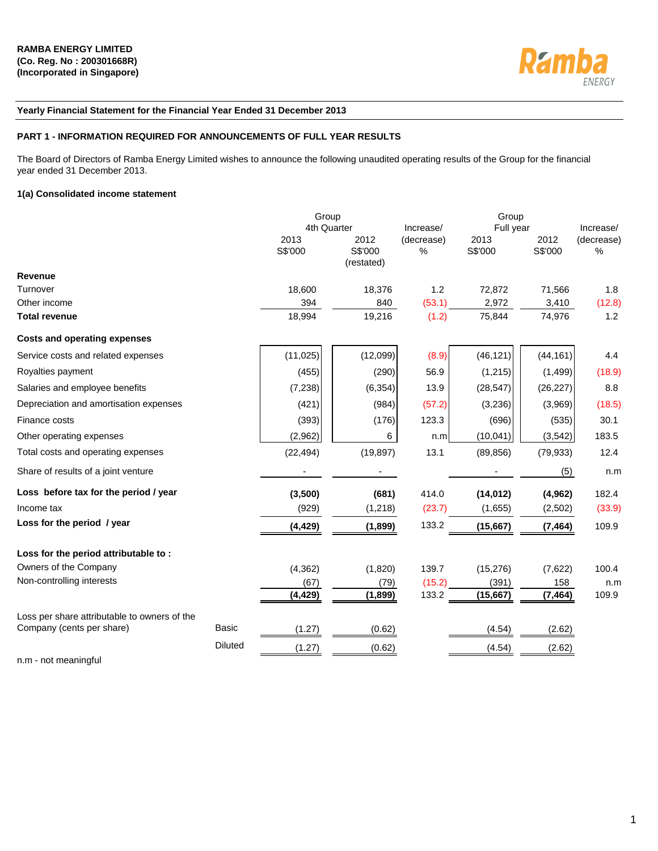

# **Yearly Financial Statement for the Financial Year Ended 31 December 2013**

# **PART 1 - INFORMATION REQUIRED FOR ANNOUNCEMENTS OF FULL YEAR RESULTS**

The Board of Directors of Ramba Energy Limited wishes to announce the following unaudited operating results of the Group for the financial year ended 31 December 2013.

# **1(a) Consolidated income statement**

|                                              |                | Group           |                               |                 | Group           |                 |                    |
|----------------------------------------------|----------------|-----------------|-------------------------------|-----------------|-----------------|-----------------|--------------------|
|                                              |                | 4th Quarter     |                               | Increase/       | Full year       |                 | Increase/          |
|                                              |                | 2013<br>S\$'000 | 2012<br>S\$'000<br>(restated) | (decrease)<br>% | 2013<br>S\$'000 | 2012<br>S\$'000 | (decrease)<br>$\%$ |
| <b>Revenue</b>                               |                |                 |                               |                 |                 |                 |                    |
| Turnover                                     |                | 18,600          | 18,376                        | 1.2             | 72,872          | 71,566          | 1.8                |
| Other income                                 |                | 394             | 840                           | (53.1)          | 2,972           | 3,410           | (12.8)             |
| <b>Total revenue</b>                         |                | 18,994          | 19,216                        | (1.2)           | 75,844          | 74,976          | 1.2                |
| <b>Costs and operating expenses</b>          |                |                 |                               |                 |                 |                 |                    |
| Service costs and related expenses           |                | (11, 025)       | (12,099)                      | (8.9)           | (46, 121)       | (44, 161)       | 4.4                |
| Royalties payment                            |                | (455)           | (290)                         | 56.9            | (1, 215)        | (1, 499)        | (18.9)             |
| Salaries and employee benefits               |                | (7, 238)        | (6, 354)                      | 13.9            | (28, 547)       | (26, 227)       | 8.8                |
| Depreciation and amortisation expenses       |                | (421)           | (984)                         | (57.2)          | (3,236)         | (3,969)         | (18.5)             |
| Finance costs                                |                | (393)           | (176)                         | 123.3           | (696)           | (535)           | 30.1               |
| Other operating expenses                     |                | (2,962)         | 6                             | n.m             | (10, 041)       | (3, 542)        | 183.5              |
| Total costs and operating expenses           |                | (22, 494)       | (19, 897)                     | 13.1            | (89, 856)       | (79, 933)       | 12.4               |
| Share of results of a joint venture          |                |                 |                               |                 |                 | (5)             | n.m                |
| Loss before tax for the period / year        |                | (3,500)         | (681)                         | 414.0           | (14, 012)       | (4, 962)        | 182.4              |
| Income tax                                   |                | (929)           | (1,218)                       | (23.7)          | (1,655)         | (2,502)         | (33.9)             |
| Loss for the period / year                   |                | (4, 429)        | (1,899)                       | 133.2           | (15,667)        | (7, 464)        | 109.9              |
| Loss for the period attributable to:         |                |                 |                               |                 |                 |                 |                    |
| Owners of the Company                        |                | (4, 362)        | (1,820)                       | 139.7           | (15, 276)       | (7,622)         | 100.4              |
| Non-controlling interests                    |                | (67)            | (79)                          | (15.2)          | (391)           | 158             | n.m                |
|                                              |                | (4, 429)        | (1,899)                       | 133.2           | (15,667)        | (7, 464)        | 109.9              |
| Loss per share attributable to owners of the |                |                 |                               |                 |                 |                 |                    |
| Company (cents per share)                    | <b>Basic</b>   | (1.27)          | (0.62)                        |                 | (4.54)          | (2.62)          |                    |
|                                              | <b>Diluted</b> | (1.27)          | (0.62)                        |                 | (4.54)          | (2.62)          |                    |
|                                              |                |                 |                               |                 |                 |                 |                    |

n.m - not meaningful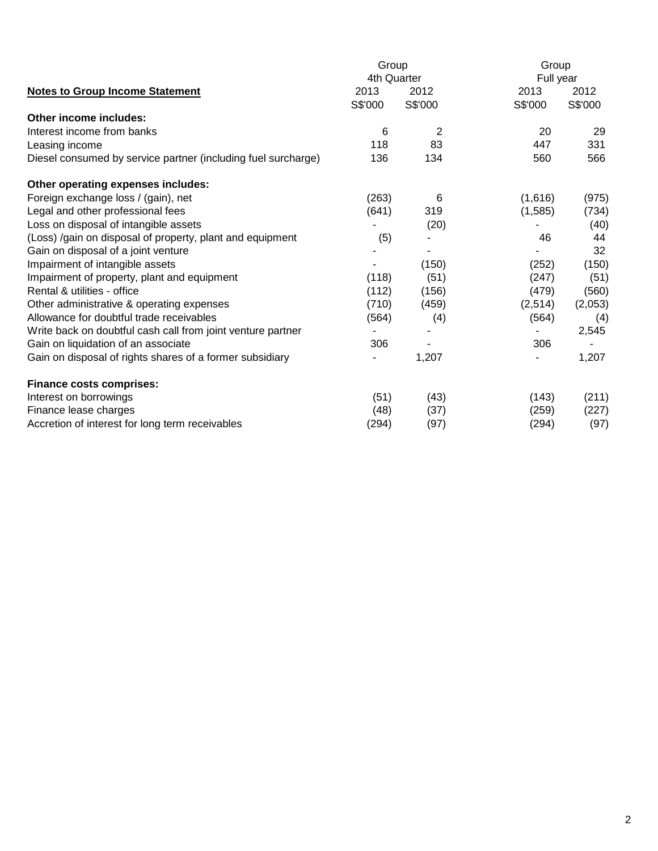|                                                               | Group       |                | Group     |         |  |  |
|---------------------------------------------------------------|-------------|----------------|-----------|---------|--|--|
|                                                               | 4th Quarter |                | Full year |         |  |  |
| <b>Notes to Group Income Statement</b>                        | 2013        | 2012           | 2013      | 2012    |  |  |
|                                                               | S\$'000     | S\$'000        | S\$'000   | S\$'000 |  |  |
| <b>Other income includes:</b>                                 |             |                |           |         |  |  |
| Interest income from banks                                    | 6           | $\overline{2}$ | 20        | 29      |  |  |
| Leasing income                                                | 118         | 83             | 447       | 331     |  |  |
| Diesel consumed by service partner (including fuel surcharge) | 136         | 134            | 560       | 566     |  |  |
| Other operating expenses includes:                            |             |                |           |         |  |  |
| Foreign exchange loss / (gain), net                           | (263)       | 6              | (1,616)   | (975)   |  |  |
| Legal and other professional fees                             | (641)       | 319            | (1,585)   | (734)   |  |  |
| Loss on disposal of intangible assets                         |             | (20)           |           | (40)    |  |  |
| (Loss) /gain on disposal of property, plant and equipment     | (5)         |                | 46        | 44      |  |  |
| Gain on disposal of a joint venture                           |             |                |           | 32      |  |  |
| Impairment of intangible assets                               |             | (150)          | (252)     | (150)   |  |  |
| Impairment of property, plant and equipment                   | (118)       | (51)           | (247)     | (51)    |  |  |
| Rental & utilities - office                                   | (112)       | (156)          | (479)     | (560)   |  |  |
| Other administrative & operating expenses                     | (710)       | (459)          | (2,514)   | (2,053) |  |  |
| Allowance for doubtful trade receivables                      | (564)       | (4)            | (564)     | (4)     |  |  |
| Write back on doubtful cash call from joint venture partner   |             |                |           | 2,545   |  |  |
| Gain on liquidation of an associate                           | 306         |                | 306       |         |  |  |
| Gain on disposal of rights shares of a former subsidiary      |             | 1,207          |           | 1,207   |  |  |
| <b>Finance costs comprises:</b>                               |             |                |           |         |  |  |
| Interest on borrowings                                        | (51)        | (43)           | (143)     | (211)   |  |  |
| Finance lease charges                                         | (48)        | (37)           | (259)     | (227)   |  |  |
| Accretion of interest for long term receivables               | (294)       | (97)           | (294)     | (97)    |  |  |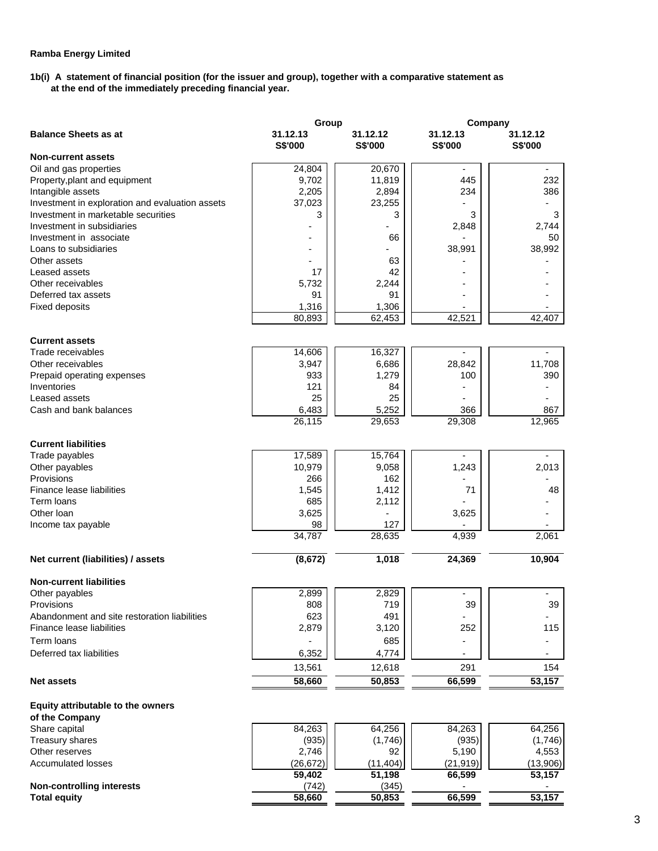# **1b(i) A statement of financial position (for the issuer and group), together with a comparative statement as at the end of the immediately preceding financial year.**

|                                                 | Group               |                     | Company             |                     |
|-------------------------------------------------|---------------------|---------------------|---------------------|---------------------|
| <b>Balance Sheets as at</b>                     | 31.12.13<br>S\$'000 | 31.12.12<br>S\$'000 | 31.12.13<br>S\$'000 | 31.12.12<br>S\$'000 |
| <b>Non-current assets</b>                       |                     |                     |                     |                     |
| Oil and gas properties                          | 24,804              | 20,670              |                     |                     |
| Property, plant and equipment                   | 9,702               | 11,819              | 445                 | 232                 |
| Intangible assets                               | 2,205               | 2,894               | 234                 | 386                 |
| Investment in exploration and evaluation assets | 37,023              | 23,255              |                     |                     |
| Investment in marketable securities             | 3                   | 3                   | 3                   | 3                   |
| Investment in subsidiaries                      |                     |                     | 2,848               | 2,744               |
| Investment in associate                         |                     | 66                  |                     | 50                  |
| Loans to subsidiaries                           |                     |                     | 38,991              | 38,992              |
| Other assets                                    |                     | 63                  |                     |                     |
| Leased assets                                   | 17                  | 42                  |                     |                     |
| Other receivables                               | 5,732               | 2,244               |                     |                     |
| Deferred tax assets                             | 91                  | 91                  |                     |                     |
| <b>Fixed deposits</b>                           | 1,316               | 1,306               |                     |                     |
|                                                 | 80,893              | 62,453              | 42,521              | 42,407              |
| <b>Current assets</b>                           |                     |                     |                     |                     |
| Trade receivables                               | 14,606              | 16,327              |                     |                     |
| Other receivables                               | 3,947               | 6,686               | 28,842              | 11,708              |
| Prepaid operating expenses                      | 933                 | 1,279               | 100                 | 390                 |
| Inventories                                     | 121                 | 84                  |                     |                     |
| Leased assets                                   | 25                  | 25                  |                     |                     |
| Cash and bank balances                          | 6,483               | 5,252               | 366                 | 867                 |
|                                                 | 26,115              | 29,653              | 29,308              | 12,965              |
| <b>Current liabilities</b>                      |                     |                     |                     |                     |
| Trade payables                                  | 17,589              | 15,764              |                     | ÷,                  |
| Other payables                                  | 10,979              | 9,058               | 1,243               | 2,013               |
| Provisions                                      | 266                 | 162                 |                     |                     |
| Finance lease liabilities                       | 1,545               | 1,412               | 71                  | 48                  |
| Term loans                                      | 685                 | 2,112               |                     |                     |
| Other Ioan                                      | 3,625               |                     | 3,625               |                     |
| Income tax payable                              | 98                  | 127                 |                     |                     |
|                                                 | 34,787              | 28,635              | 4,939               | 2,061               |
| Net current (liabilities) / assets              | (8, 672)            | 1,018               | 24,369              | 10,904              |
|                                                 |                     |                     |                     |                     |
| <b>Non-current liabilities</b>                  |                     |                     |                     |                     |
| Other payables                                  | 2,899               | 2,829               |                     |                     |
| Provisions                                      | 808                 | 719                 | 39                  | 39                  |
| Abandonment and site restoration liabilities    | 623                 | 491                 |                     |                     |
| Finance lease liabilities                       | 2,879               | 3,120               | 252                 | 115                 |
| Term loans                                      |                     | 685                 |                     |                     |
| Deferred tax liabilities                        | 6,352               | 4,774               |                     |                     |
|                                                 | 13,561              | 12,618              | 291                 | 154                 |
| <b>Net assets</b>                               | 58,660              | 50,853              | 66,599              | 53,157              |
| Equity attributable to the owners               |                     |                     |                     |                     |
| of the Company                                  |                     |                     |                     |                     |
| Share capital                                   | 84,263              | 64,256              | 84,263              | 64,256              |
| Treasury shares                                 | (935)               | (1,746)             | (935)               | (1,746)             |
| Other reserves                                  | 2,746               | 92                  | 5,190               | 4,553               |
| <b>Accumulated losses</b>                       | (26, 672)           | (11, 404)           | (21, 919)           | (13,906)            |
|                                                 | 59,402              | 51,198              | 66,599              | 53,157              |
| <b>Non-controlling interests</b>                | (742)               | (345)               |                     |                     |
| <b>Total equity</b>                             | 58,660              | 50,853              | 66,599              | 53,157              |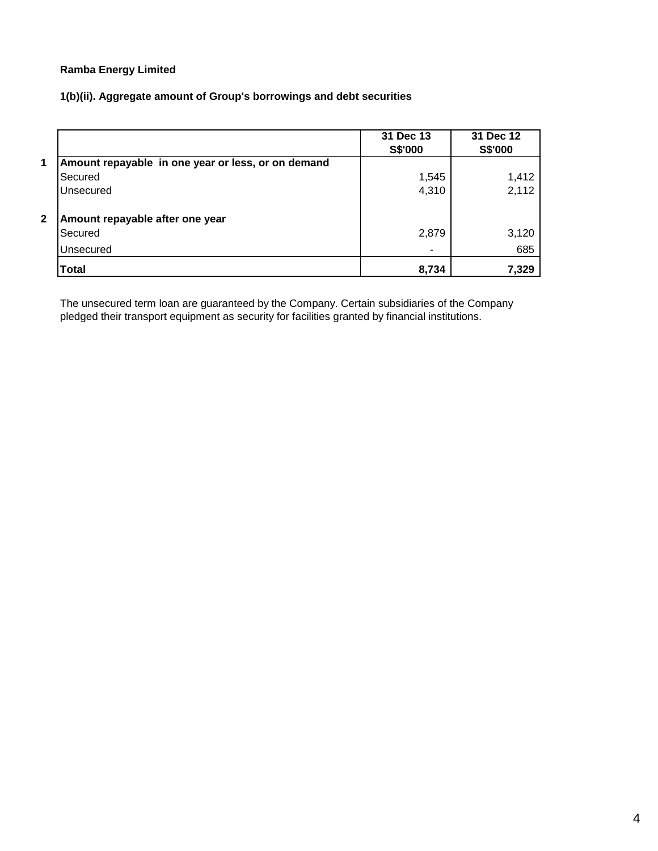**1(b)(ii). Aggregate amount of Group's borrowings and debt securities** 

|   |                                                    | 31 Dec 13<br><b>S\$'000</b> | 31 Dec 12<br><b>S\$'000</b> |
|---|----------------------------------------------------|-----------------------------|-----------------------------|
| 1 | Amount repayable in one year or less, or on demand |                             |                             |
|   | Secured                                            | 1,545                       | 1,412                       |
|   | Unsecured                                          | 4,310                       | 2,112                       |
| 2 | Amount repayable after one year                    |                             |                             |
|   | Secured                                            | 2,879                       | 3,120                       |
|   | Unsecured                                          |                             | 685                         |
|   | <b>Total</b>                                       | 8,734                       | 7,329                       |

The unsecured term loan are guaranteed by the Company. Certain subsidiaries of the Company pledged their transport equipment as security for facilities granted by financial institutions.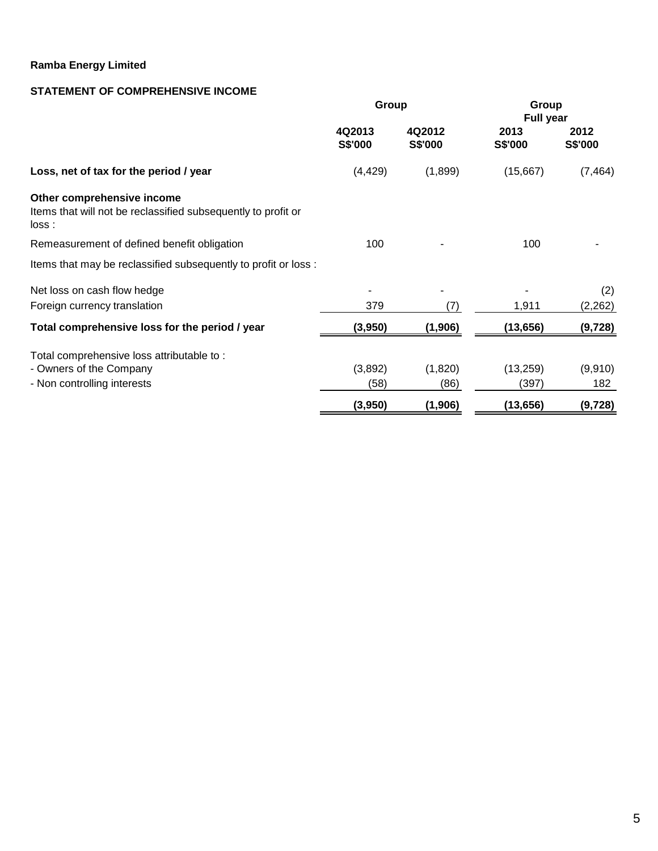# **STATEMENT OF COMPREHENSIVE INCOME**

|                                                                                                      | Group             |                          | Group<br><b>Full year</b> |                 |
|------------------------------------------------------------------------------------------------------|-------------------|--------------------------|---------------------------|-----------------|
|                                                                                                      | 4Q2013<br>S\$'000 | 4Q2012<br><b>S\$'000</b> | 2013<br>S\$'000           | 2012<br>S\$'000 |
| Loss, net of tax for the period / year                                                               | (4, 429)          | (1,899)                  | (15,667)                  | (7, 464)        |
| Other comprehensive income<br>Items that will not be reclassified subsequently to profit or<br>loss: |                   |                          |                           |                 |
| Remeasurement of defined benefit obligation                                                          | 100               |                          | 100                       |                 |
| Items that may be reclassified subsequently to profit or loss :                                      |                   |                          |                           |                 |
| Net loss on cash flow hedge                                                                          |                   |                          |                           | (2)             |
| Foreign currency translation                                                                         | 379               | (7)                      | 1,911                     | (2, 262)        |
| Total comprehensive loss for the period / year                                                       | (3,950)           | (1,906)                  | (13, 656)                 | (9, 728)        |
| Total comprehensive loss attributable to:                                                            |                   |                          |                           |                 |
| - Owners of the Company                                                                              | (3,892)           | (1,820)                  | (13, 259)                 | (9,910)         |
| - Non controlling interests                                                                          | (58)              | (86)                     | (397)                     | 182             |
|                                                                                                      | (3,950)           | (1,906)                  | (13, 656)                 | (9,728)         |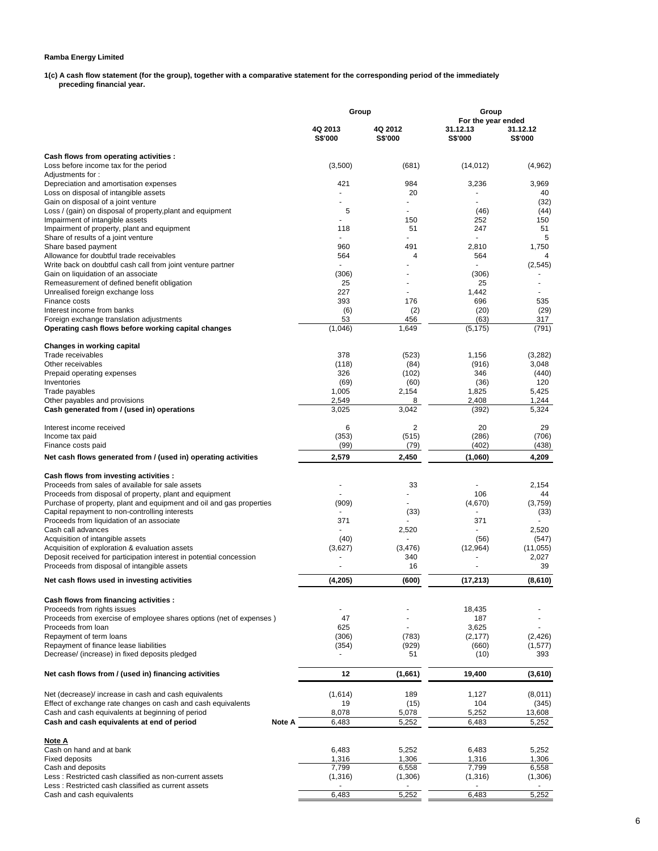**1(c) A cash flow statement (for the group), together with a comparative statement for the corresponding period of the immediately preceding financial year.** 

|                                                                                                                  | Group                     |                           | Group                                            |                            |
|------------------------------------------------------------------------------------------------------------------|---------------------------|---------------------------|--------------------------------------------------|----------------------------|
|                                                                                                                  | 4Q 2013<br><b>S\$'000</b> | 4Q 2012<br><b>S\$'000</b> | For the year ended<br>31.12.13<br><b>S\$'000</b> | 31.12.12<br><b>S\$'000</b> |
| Cash flows from operating activities :                                                                           |                           |                           |                                                  |                            |
| Loss before income tax for the period                                                                            | (3,500)                   | (681)                     | (14, 012)                                        | (4,962)                    |
| Adjustments for:                                                                                                 |                           |                           |                                                  |                            |
| Depreciation and amortisation expenses<br>Loss on disposal of intangible assets                                  | 421                       | 984<br>20                 | 3,236                                            | 3,969<br>40                |
| Gain on disposal of a joint venture                                                                              | ÷                         | $\overline{a}$            | ٠                                                | (32)                       |
| Loss / (gain) on disposal of property, plant and equipment                                                       | 5                         |                           | (46)                                             | (44)                       |
| Impairment of intangible assets                                                                                  |                           | 150                       | 252                                              | 150                        |
| Impairment of property, plant and equipment                                                                      | 118                       | 51                        | 247                                              | 51                         |
| Share of results of a joint venture<br>Share based payment                                                       | 960                       | 491                       | 2,810                                            | 5<br>1,750                 |
| Allowance for doubtful trade receivables                                                                         | 564                       | 4                         | 564                                              | $\overline{\mathbf{4}}$    |
| Write back on doubtful cash call from joint venture partner                                                      |                           |                           |                                                  | (2, 545)                   |
| Gain on liquidation of an associate                                                                              | (306)                     |                           | (306)                                            |                            |
| Remeasurement of defined benefit obligation                                                                      | 25                        |                           | 25                                               |                            |
| Unrealised foreign exchange loss<br>Finance costs                                                                | 227<br>393                | 176                       | 1,442<br>696                                     | 535                        |
| Interest income from banks                                                                                       | (6)                       | (2)                       | (20)                                             | (29)                       |
| Foreign exchange translation adjustments                                                                         | 53                        | 456                       | (63)                                             | 317                        |
| Operating cash flows before working capital changes                                                              | (1,046)                   | 1,649                     | (5, 175)                                         | (791)                      |
|                                                                                                                  |                           |                           |                                                  |                            |
| Changes in working capital<br>Trade receivables                                                                  | 378                       | (523)                     | 1,156                                            | (3,282)                    |
| Other receivables                                                                                                | (118)                     | (84)                      | (916)                                            | 3,048                      |
| Prepaid operating expenses                                                                                       | 326                       | (102)                     | 346                                              | (440)                      |
| Inventories                                                                                                      | (69)                      | (60)                      | (36)                                             | 120                        |
| Trade payables                                                                                                   | 1,005                     | 2,154                     | 1,825                                            | 5,425                      |
| Other payables and provisions                                                                                    | 2,549                     | 8                         | 2,408                                            | 1,244                      |
| Cash generated from / (used in) operations                                                                       | 3,025                     | 3,042                     | (392)                                            | 5,324                      |
| Interest income received                                                                                         | 6                         | $\overline{2}$            | 20                                               | 29                         |
| Income tax paid                                                                                                  | (353)                     | (515)                     | (286)                                            | (706)                      |
| Finance costs paid                                                                                               | (99)                      | (79)                      | (402)                                            | (438)                      |
| Net cash flows generated from / (used in) operating activities                                                   | 2,579                     | 2,450                     | (1,060)                                          | 4,209                      |
| Cash flows from investing activities :                                                                           |                           |                           |                                                  |                            |
| Proceeds from sales of available for sale assets                                                                 | $\blacksquare$            | 33                        |                                                  | 2,154                      |
| Proceeds from disposal of property, plant and equipment                                                          |                           |                           | 106                                              | 44                         |
| Purchase of property, plant and equipment and oil and gas properties                                             | (909)                     |                           | (4,670)                                          | (3,759)                    |
| Capital repayment to non-controlling interests                                                                   |                           | (33)                      |                                                  | (33)                       |
| Proceeds from liquidation of an associate<br>Cash call advances                                                  | 371                       |                           | 371                                              | 2,520                      |
| Acquisition of intangible assets                                                                                 | (40)                      | 2,520                     | (56)                                             | (547)                      |
| Acquisition of exploration & evaluation assets                                                                   | (3,627)                   | (3, 476)                  | (12,964)                                         | (11, 055)                  |
| Deposit received for participation interest in potential concession                                              |                           | 340                       |                                                  | 2,027                      |
| Proceeds from disposal of intangible assets                                                                      |                           | 16                        |                                                  | 39                         |
| Net cash flows used in investing activities                                                                      | (4,205)                   | (600)                     | (17, 213)                                        | (8,610)                    |
|                                                                                                                  |                           |                           |                                                  |                            |
| Cash flows from financing activities :                                                                           |                           |                           |                                                  |                            |
| Proceeds from rights issues<br>Proceeds from exercise of employee shares options (net of expenses)               | 47                        |                           | 18,435<br>187                                    |                            |
| Proceeds from loan                                                                                               | 625                       |                           | 3,625                                            |                            |
| Repayment of term loans                                                                                          | (306)                     | (783)                     | (2, 177)                                         | (2, 426)                   |
| Repayment of finance lease liabilities                                                                           | (354)                     | (929)                     | (660)                                            | (1, 577)                   |
| Decrease/ (increase) in fixed deposits pledged                                                                   |                           | 51                        | (10)                                             | 393                        |
| Net cash flows from / (used in) financing activities                                                             | 12                        | (1,661)                   | 19,400                                           | (3,610)                    |
|                                                                                                                  |                           |                           |                                                  |                            |
| Net (decrease)/ increase in cash and cash equivalents                                                            | (1,614)                   | 189                       | 1,127                                            | (8,011)                    |
| Effect of exchange rate changes on cash and cash equivalents<br>Cash and cash equivalents at beginning of period | 19<br>8,078               | (15)<br>5,078             | 104<br>5,252                                     | (345)<br>13,608            |
| Cash and cash equivalents at end of period<br>Note A                                                             | 6,483                     | 5,252                     | 6,483                                            | 5,252                      |
| Note A                                                                                                           |                           |                           |                                                  |                            |
| Cash on hand and at bank                                                                                         | 6,483                     | 5,252                     | 6,483                                            | 5,252                      |
| <b>Fixed deposits</b>                                                                                            | 1,316                     | 1,306                     | 1,316                                            | 1,306                      |
| Cash and deposits                                                                                                | 7,799                     | 6,558                     | 7,799                                            | 6,558                      |
| Less: Restricted cash classified as non-current assets                                                           | (1,316)                   | (1,306)                   | (1,316)                                          | (1,306)                    |
| Less: Restricted cash classified as current assets<br>Cash and cash equivalents                                  | 6,483                     | 5,252                     | 6,483                                            | 5,252                      |
|                                                                                                                  |                           |                           |                                                  |                            |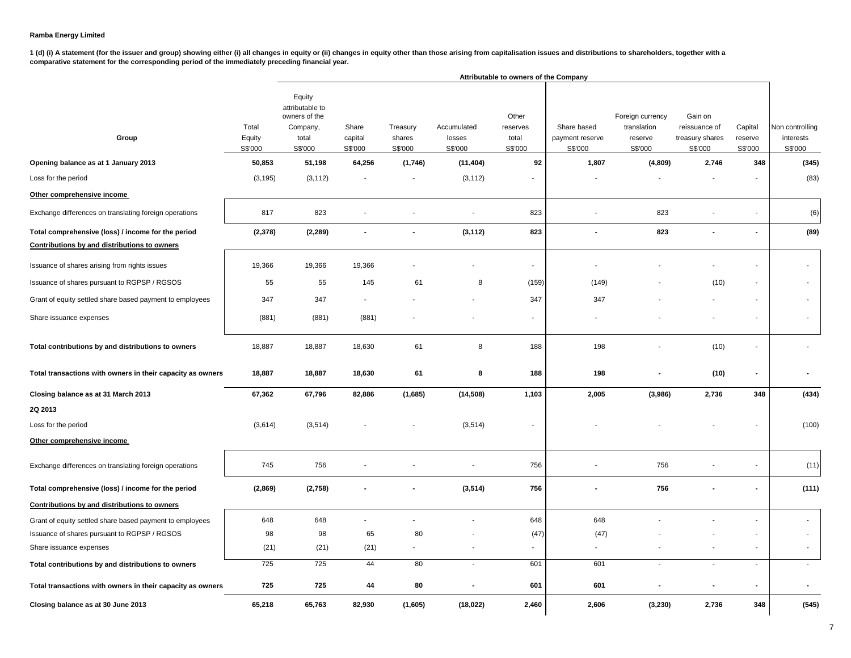1 (d) (i) A statement (for the issuer and group) showing either (i) all changes in equity or (ii) changes in equity other than those arising from capitalisation issues and distributions to shareholders, together with a **comparative statement for the corresponding period of the immediately preceding financial year.**

|                                                                                                    |                            |                                                                            |                             |                               |                                  | Attributable to owners of the Company |                                           |                                                       |                                                        |                               |                                         |
|----------------------------------------------------------------------------------------------------|----------------------------|----------------------------------------------------------------------------|-----------------------------|-------------------------------|----------------------------------|---------------------------------------|-------------------------------------------|-------------------------------------------------------|--------------------------------------------------------|-------------------------------|-----------------------------------------|
| Group                                                                                              | Total<br>Equity<br>S\$'000 | Equity<br>attributable to<br>owners of the<br>Company,<br>total<br>S\$'000 | Share<br>capital<br>S\$'000 | Treasury<br>shares<br>S\$'000 | Accumulated<br>losses<br>S\$'000 | Other<br>reserves<br>total<br>S\$'000 | Share based<br>payment reserve<br>S\$'000 | Foreign currency<br>translation<br>reserve<br>S\$'000 | Gain on<br>reissuance of<br>treasury shares<br>S\$'000 | Capital<br>reserve<br>S\$'000 | Non controlling<br>interests<br>S\$'000 |
| Opening balance as at 1 January 2013                                                               | 50,853                     | 51,198                                                                     | 64,256                      | (1,746)                       | (11, 404)                        | 92                                    | 1,807                                     | (4,809)                                               | 2,746                                                  | 348                           | (345)                                   |
| Loss for the period                                                                                | (3, 195)                   | (3, 112)                                                                   |                             | $\overline{\phantom{a}}$      | (3, 112)                         |                                       |                                           |                                                       |                                                        |                               | (83)                                    |
| Other comprehensive income                                                                         |                            |                                                                            |                             |                               |                                  |                                       |                                           |                                                       |                                                        |                               |                                         |
| Exchange differences on translating foreign operations                                             | 817                        | 823                                                                        |                             | $\overline{\phantom{a}}$      | $\sim$                           | 823                                   | $\overline{\phantom{a}}$                  | 823                                                   |                                                        |                               | (6)                                     |
| Total comprehensive (loss) / income for the period<br>Contributions by and distributions to owners | (2, 378)                   | (2, 289)                                                                   |                             |                               | (3, 112)                         | 823                                   |                                           | 823                                                   |                                                        |                               | (89)                                    |
| Issuance of shares arising from rights issues                                                      | 19,366                     | 19,366                                                                     | 19,366                      |                               |                                  | ä,                                    |                                           |                                                       |                                                        |                               |                                         |
| Issuance of shares pursuant to RGPSP / RGSOS                                                       | 55                         | 55                                                                         | 145                         | 61                            | 8                                | (159)                                 | (149)                                     |                                                       | (10)                                                   |                               |                                         |
| Grant of equity settled share based payment to employees                                           | 347                        | 347                                                                        |                             |                               |                                  | 347                                   | 347                                       |                                                       |                                                        |                               |                                         |
| Share issuance expenses                                                                            | (881)                      | (881)                                                                      | (881)                       |                               |                                  |                                       |                                           |                                                       |                                                        |                               |                                         |
| Total contributions by and distributions to owners                                                 | 18,887                     | 18,887                                                                     | 18,630                      | 61                            | 8                                | 188                                   | 198                                       |                                                       | (10)                                                   |                               |                                         |
| Total transactions with owners in their capacity as owners                                         | 18,887                     | 18,887                                                                     | 18,630                      | 61                            | 8                                | 188                                   | 198                                       |                                                       | (10)                                                   |                               |                                         |
| Closing balance as at 31 March 2013                                                                | 67,362                     | 67,796                                                                     | 82,886                      | (1,685)                       | (14, 508)                        | 1,103                                 | 2,005                                     | (3,986)                                               | 2,736                                                  | 348                           | (434)                                   |
| 2Q 2013                                                                                            |                            |                                                                            |                             |                               |                                  |                                       |                                           |                                                       |                                                        |                               |                                         |
| Loss for the period                                                                                | (3,614)                    | (3, 514)                                                                   |                             |                               | (3, 514)                         | $\blacksquare$                        |                                           |                                                       |                                                        |                               | (100)                                   |
| Other comprehensive income                                                                         |                            |                                                                            |                             |                               |                                  |                                       |                                           |                                                       |                                                        |                               |                                         |
| Exchange differences on translating foreign operations                                             | 745                        | 756                                                                        |                             |                               |                                  | 756                                   |                                           | 756                                                   |                                                        |                               | (11)                                    |
| Total comprehensive (loss) / income for the period                                                 | (2,869)                    | (2,758)                                                                    |                             |                               | (3, 514)                         | 756                                   |                                           | 756                                                   |                                                        |                               | (111)                                   |
| Contributions by and distributions to owners                                                       |                            |                                                                            |                             |                               |                                  |                                       |                                           |                                                       |                                                        |                               |                                         |
| Grant of equity settled share based payment to employees                                           | 648                        | 648                                                                        |                             |                               |                                  | 648                                   | 648                                       |                                                       |                                                        |                               |                                         |
| Issuance of shares pursuant to RGPSP / RGSOS                                                       | 98                         | 98                                                                         | 65                          | 80                            |                                  | (47)                                  | (47)                                      |                                                       |                                                        |                               |                                         |
| Share issuance expenses                                                                            | (21)                       | (21)                                                                       | (21)                        |                               |                                  | ۰                                     |                                           |                                                       |                                                        |                               |                                         |
| Total contributions by and distributions to owners                                                 | 725                        | 725                                                                        | 44                          | 80                            | $\sim$                           | 601                                   | 601                                       | $\overline{\phantom{a}}$                              | $\blacksquare$                                         | $\sim$                        | $\blacksquare$                          |
| Total transactions with owners in their capacity as owners                                         | 725                        | 725                                                                        | 44                          | 80                            |                                  | 601                                   | 601                                       |                                                       |                                                        |                               |                                         |
| Closing balance as at 30 June 2013                                                                 | 65,218                     | 65,763                                                                     | 82,930                      | (1,605)                       | (18, 022)                        | 2,460                                 | 2,606                                     | (3,230)                                               | 2,736                                                  | 348                           | (545)                                   |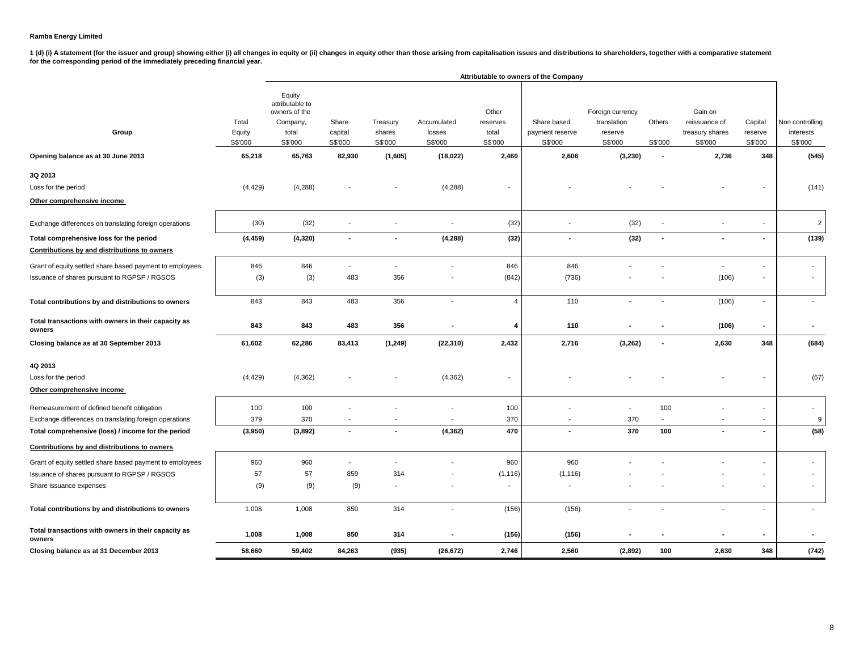1 (d) (i) A statement (for the issuer and group) showing either (i) all changes in equity or (ii) changes in equity other than those arising from capitalisation issues and distributions to shareholders, together with a com

|                                                               |                                      |                                                                                      |                                       |                                          |                                  |                                                | Attributable to owners of the Company              |                                                       |                                               |                                                                 |                                      |                                                  |
|---------------------------------------------------------------|--------------------------------------|--------------------------------------------------------------------------------------|---------------------------------------|------------------------------------------|----------------------------------|------------------------------------------------|----------------------------------------------------|-------------------------------------------------------|-----------------------------------------------|-----------------------------------------------------------------|--------------------------------------|--------------------------------------------------|
| Group                                                         | Total<br>Equity<br>S\$'000<br>65,218 | Equity<br>attributable to<br>owners of the<br>Company,<br>total<br>S\$'000<br>65,763 | Share<br>capital<br>S\$'000<br>82,930 | Treasury<br>shares<br>S\$'000<br>(1,605) | Accumulated<br>losses<br>S\$'000 | Other<br>reserves<br>total<br>S\$'000<br>2,460 | Share based<br>payment reserve<br>S\$'000<br>2,606 | Foreign currency<br>translation<br>reserve<br>S\$'000 | Others<br>S\$'000<br>$\overline{\phantom{a}}$ | Gain on<br>reissuance of<br>treasury shares<br>S\$'000<br>2,736 | Capital<br>reserve<br>S\$'000<br>348 | Non controlling<br>interests<br>S\$'000<br>(545) |
| Opening balance as at 30 June 2013                            |                                      |                                                                                      |                                       |                                          | (18,022)                         |                                                |                                                    | (3,230)                                               |                                               |                                                                 |                                      |                                                  |
| 3Q 2013                                                       |                                      |                                                                                      |                                       |                                          |                                  |                                                |                                                    |                                                       |                                               |                                                                 |                                      |                                                  |
| Loss for the period                                           | (4, 429)                             | (4,288)                                                                              |                                       |                                          | (4,288)                          |                                                |                                                    |                                                       |                                               |                                                                 |                                      | (141)                                            |
| Other comprehensive income                                    |                                      |                                                                                      |                                       |                                          |                                  |                                                |                                                    |                                                       |                                               |                                                                 |                                      |                                                  |
| Exchange differences on translating foreign operations        | (30)                                 | (32)                                                                                 |                                       | $\blacksquare$                           | $\overline{\phantom{a}}$         | (32)                                           |                                                    | (32)                                                  |                                               |                                                                 | $\overline{\phantom{a}}$             | $\overline{2}$                                   |
| Total comprehensive loss for the period                       | (4, 459)                             | (4, 320)                                                                             | $\sim$                                | $\blacksquare$                           | (4, 288)                         | (32)                                           | $\sim$                                             | (32)                                                  | $\overline{\phantom{a}}$                      | $\mathbf{r}$                                                    | $\sim$                               | (139)                                            |
| Contributions by and distributions to owners                  |                                      |                                                                                      |                                       |                                          |                                  |                                                |                                                    |                                                       |                                               |                                                                 |                                      |                                                  |
| Grant of equity settled share based payment to employees      | 846                                  | 846                                                                                  | $\overline{\phantom{a}}$              | $\overline{\phantom{a}}$                 |                                  | 846                                            | 846                                                |                                                       |                                               | $\blacksquare$                                                  |                                      |                                                  |
| Issuance of shares pursuant to RGPSP / RGSOS                  | (3)                                  | (3)                                                                                  | 483                                   | 356                                      |                                  | (842)                                          | (736)                                              |                                                       |                                               | (106)                                                           |                                      |                                                  |
| Total contributions by and distributions to owners            | 843                                  | 843                                                                                  | 483                                   | 356                                      | $\blacksquare$                   | $\overline{4}$                                 | 110                                                | $\overline{\phantom{a}}$                              |                                               | (106)                                                           | $\sim$                               | $\overline{\phantom{a}}$                         |
| Total transactions with owners in their capacity as<br>owners | 843                                  | 843                                                                                  | 483                                   | 356                                      |                                  | $\overline{4}$                                 | 110                                                |                                                       |                                               | (106)                                                           | $\blacksquare$                       | $\blacksquare$                                   |
| Closing balance as at 30 September 2013                       | 61,602                               | 62,286                                                                               | 83,413                                | (1, 249)                                 | (22, 310)                        | 2,432                                          | 2,716                                              | (3, 262)                                              |                                               | 2,630                                                           | 348                                  | (684)                                            |
| 4Q 2013                                                       |                                      |                                                                                      |                                       |                                          |                                  |                                                |                                                    |                                                       |                                               |                                                                 |                                      |                                                  |
| Loss for the period                                           | (4, 429)                             | (4, 362)                                                                             |                                       |                                          | (4, 362)                         | $\overline{\phantom{a}}$                       |                                                    |                                                       |                                               |                                                                 |                                      | (67)                                             |
| Other comprehensive income                                    |                                      |                                                                                      |                                       |                                          |                                  |                                                |                                                    |                                                       |                                               |                                                                 |                                      |                                                  |
| Remeasurement of defined benefit obligation                   | 100                                  | 100                                                                                  |                                       |                                          |                                  | 100                                            |                                                    | $\blacksquare$                                        | 100                                           |                                                                 |                                      |                                                  |
| Exchange differences on translating foreign operations        | 379                                  | 370                                                                                  |                                       |                                          |                                  | 370                                            |                                                    | 370                                                   |                                               |                                                                 |                                      | 9                                                |
| Total comprehensive (loss) / income for the period            | (3,950)                              | (3,892)                                                                              | $\sim$                                | $\blacksquare$                           | (4, 362)                         | 470                                            | $\overline{\phantom{a}}$                           | 370                                                   | 100                                           |                                                                 | $\sim$                               | (58)                                             |
| Contributions by and distributions to owners                  |                                      |                                                                                      |                                       |                                          |                                  |                                                |                                                    |                                                       |                                               |                                                                 |                                      |                                                  |
| Grant of equity settled share based payment to employees      | 960                                  | 960                                                                                  | $\overline{\phantom{a}}$              | ÷,                                       |                                  | 960                                            | 960                                                |                                                       |                                               |                                                                 |                                      |                                                  |
| Issuance of shares pursuant to RGPSP / RGSOS                  | 57                                   | 57                                                                                   | 859                                   | 314                                      |                                  | (1, 116)                                       | (1, 116)                                           |                                                       |                                               |                                                                 |                                      |                                                  |
| Share issuance expenses                                       | (9)                                  | (9)                                                                                  | (9)                                   |                                          |                                  | $\sim$                                         |                                                    |                                                       |                                               |                                                                 |                                      |                                                  |
| Total contributions by and distributions to owners            | 1,008                                | 1,008                                                                                | 850                                   | 314                                      | $\overline{\phantom{a}}$         | (156)                                          | (156)                                              | $\overline{\phantom{a}}$                              |                                               | $\blacksquare$                                                  | $\overline{a}$                       |                                                  |
| Total transactions with owners in their capacity as<br>owners | 1,008                                | 1,008                                                                                | 850                                   | 314                                      |                                  | (156)                                          | (156)                                              |                                                       |                                               | ÷.                                                              |                                      |                                                  |
| Closing balance as at 31 December 2013                        | 58,660                               | 59,402                                                                               | 84,263                                | (935)                                    | (26, 672)                        | 2,746                                          | 2,560                                              | (2,892)                                               | 100                                           | 2,630                                                           | 348                                  | (742)                                            |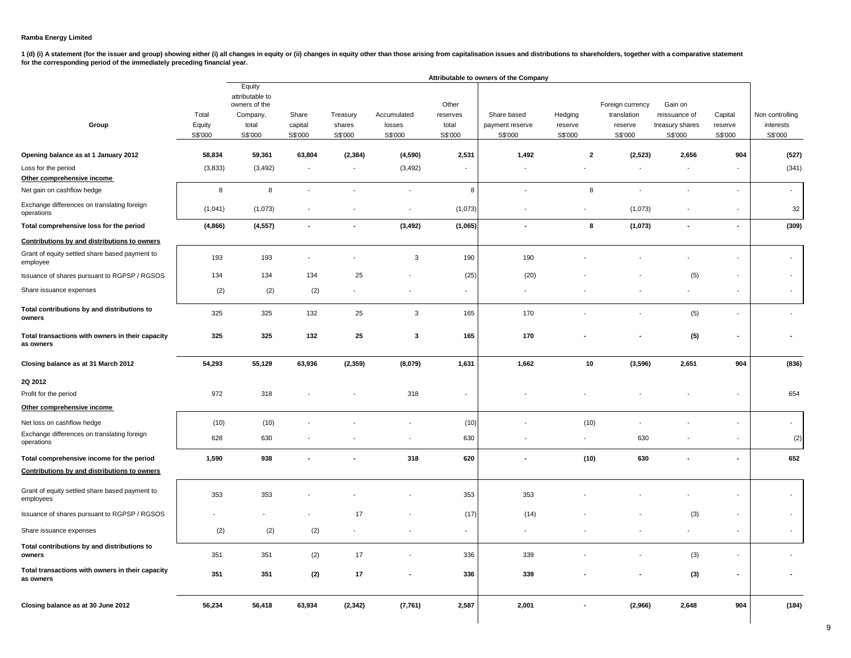1 (d) (i) A statement (for the issuer and group) showing either (i) all changes in equity or (ii) changes in equity other than those arising from capitalisation issues and distributions to shareholders, together with a com **for the corresponding period of the immediately preceding financial year.**

|                                                               |                            |                                                                            |                             |                               |                                  |                                       | Attributable to owners of the Company     |                               |                                                       |                                                        |                               |                                         |
|---------------------------------------------------------------|----------------------------|----------------------------------------------------------------------------|-----------------------------|-------------------------------|----------------------------------|---------------------------------------|-------------------------------------------|-------------------------------|-------------------------------------------------------|--------------------------------------------------------|-------------------------------|-----------------------------------------|
| Group                                                         | Total<br>Equity<br>S\$'000 | Equity<br>attributable to<br>owners of the<br>Company,<br>total<br>S\$'000 | Share<br>capital<br>S\$'000 | Treasury<br>shares<br>S\$'000 | Accumulated<br>losses<br>S\$'000 | Other<br>reserves<br>total<br>S\$'000 | Share based<br>payment reserve<br>S\$'000 | Hedging<br>reserve<br>S\$'000 | Foreign currency<br>translation<br>reserve<br>S\$'000 | Gain on<br>reissuance of<br>treasury shares<br>S\$'000 | Capital<br>reserve<br>S\$'000 | Non controlling<br>interests<br>S\$'000 |
| Opening balance as at 1 January 2012                          | 58,834                     | 59,361                                                                     | 63,804                      | (2, 384)                      | (4,590)                          | 2,531                                 | 1,492                                     | $\overline{2}$                | (2,523)                                               | 2,656                                                  | 904                           | (527)                                   |
| Loss for the period<br>Other comprehensive income             | (3,833)                    | (3, 492)                                                                   | $\overline{\phantom{a}}$    | $\overline{\phantom{a}}$      | (3, 492)                         |                                       |                                           |                               | $\overline{\phantom{a}}$                              |                                                        |                               | (341)                                   |
| Net gain on cashflow hedge                                    | 8                          | 8                                                                          | $\sim$                      | $\overline{a}$                | $\overline{a}$                   | 8                                     | $\overline{\phantom{a}}$                  | 8                             | $\overline{\phantom{a}}$                              | $\overline{a}$                                         | $\overline{a}$                | $\overline{a}$                          |
| Exchange differences on translating foreign<br>operations     | (1,041)                    | (1,073)                                                                    |                             |                               | $\overline{\phantom{a}}$         | (1,073)                               | $\overline{\phantom{a}}$                  | $\overline{\phantom{a}}$      | (1,073)                                               |                                                        | $\overline{\phantom{a}}$      | 32                                      |
| Total comprehensive loss for the period                       | (4,866)                    | (4, 557)                                                                   | $\overline{\phantom{a}}$    | $\blacksquare$                | (3, 492)                         | (1,065)                               | $\blacksquare$                            | 8                             | (1,073)                                               | ٠                                                      | $\blacksquare$                | (309)                                   |
| Contributions by and distributions to owners                  |                            |                                                                            |                             |                               |                                  |                                       |                                           |                               |                                                       |                                                        |                               |                                         |
| Grant of equity settled share based payment to<br>employee    | 193                        | 193                                                                        |                             |                               | $\mathbf{3}$                     | 190                                   | 190                                       |                               |                                                       |                                                        | $\overline{\phantom{a}}$      |                                         |
| Issuance of shares pursuant to RGPSP / RGSOS                  | 134                        | 134                                                                        | 134                         | 25                            |                                  | (25)                                  | (20)                                      |                               |                                                       | (5)                                                    |                               |                                         |
| Share issuance expenses                                       | (2)                        | (2)                                                                        | (2)                         |                               |                                  | $\overline{\phantom{a}}$              | $\overline{\phantom{a}}$                  |                               |                                                       |                                                        | $\overline{\phantom{a}}$      |                                         |
| Total contributions by and distributions to<br>owners         | 325                        | 325                                                                        | 132                         | 25                            | 3                                | 165                                   | 170                                       |                               | $\overline{\phantom{a}}$                              | (5)                                                    |                               |                                         |
| Total transactions with owners in their capacity<br>as owners | 325                        | 325                                                                        | 132                         | 25                            | 3                                | 165                                   | 170                                       |                               |                                                       | (5)                                                    |                               |                                         |
| Closing balance as at 31 March 2012                           | 54,293                     | 55,129                                                                     | 63,936                      | (2, 359)                      | (8,079)                          | 1,631                                 | 1,662                                     | 10                            | (3,596)                                               | 2,651                                                  | 904                           | (836)                                   |
| 2Q 2012                                                       |                            |                                                                            |                             |                               |                                  |                                       |                                           |                               |                                                       |                                                        |                               |                                         |
| Profit for the period                                         | 972                        | 318                                                                        |                             |                               | 318                              | $\overline{\phantom{a}}$              |                                           |                               |                                                       |                                                        | $\blacksquare$                | 654                                     |
| Other comprehensive income                                    |                            |                                                                            |                             |                               |                                  |                                       |                                           |                               |                                                       |                                                        |                               |                                         |
| Net loss on cashflow hedge                                    | (10)                       | (10)                                                                       |                             |                               | $\overline{\phantom{a}}$         | (10)                                  |                                           | (10)                          | $\overline{\phantom{a}}$                              |                                                        | $\overline{a}$                | $\overline{\phantom{a}}$                |
| Exchange differences on translating foreign<br>operations     | 628                        | 630                                                                        |                             |                               | $\overline{\phantom{a}}$         | 630                                   |                                           | $\overline{\phantom{a}}$      | 630                                                   |                                                        | $\overline{\phantom{a}}$      | (2)                                     |
| Total comprehensive income for the period                     | 1,590                      | 938                                                                        |                             |                               | 318                              | 620                                   |                                           | (10)                          | 630                                                   |                                                        | ä,                            | 652                                     |
| Contributions by and distributions to owners                  |                            |                                                                            |                             |                               |                                  |                                       |                                           |                               |                                                       |                                                        |                               |                                         |
| Grant of equity settled share based payment to<br>employees   | 353                        | 353                                                                        |                             |                               |                                  | 353                                   | 353                                       |                               |                                                       |                                                        |                               |                                         |
| Issuance of shares pursuant to RGPSP / RGSOS                  |                            |                                                                            |                             | 17                            |                                  | (17)                                  | (14)                                      |                               |                                                       | (3)                                                    | $\overline{\phantom{a}}$      |                                         |
| Share issuance expenses                                       | (2)                        | (2)                                                                        | (2)                         |                               |                                  |                                       |                                           |                               |                                                       |                                                        | $\overline{\phantom{a}}$      |                                         |
| Total contributions by and distributions to<br>owners         | 351                        | 351                                                                        | (2)                         | 17                            |                                  | 336                                   | 339                                       |                               |                                                       | (3)                                                    |                               |                                         |
| Total transactions with owners in their capacity<br>as owners | 351                        | 351                                                                        | (2)                         | 17                            |                                  | 336                                   | 339                                       |                               |                                                       | (3)                                                    | $\blacksquare$                |                                         |
| Closing balance as at 30 June 2012                            | 56,234                     | 56,418                                                                     | 63,934                      | (2, 342)                      | (7,761)                          | 2,587                                 | 2,001                                     |                               | (2,966)                                               | 2,648                                                  | 904                           | (184)                                   |

9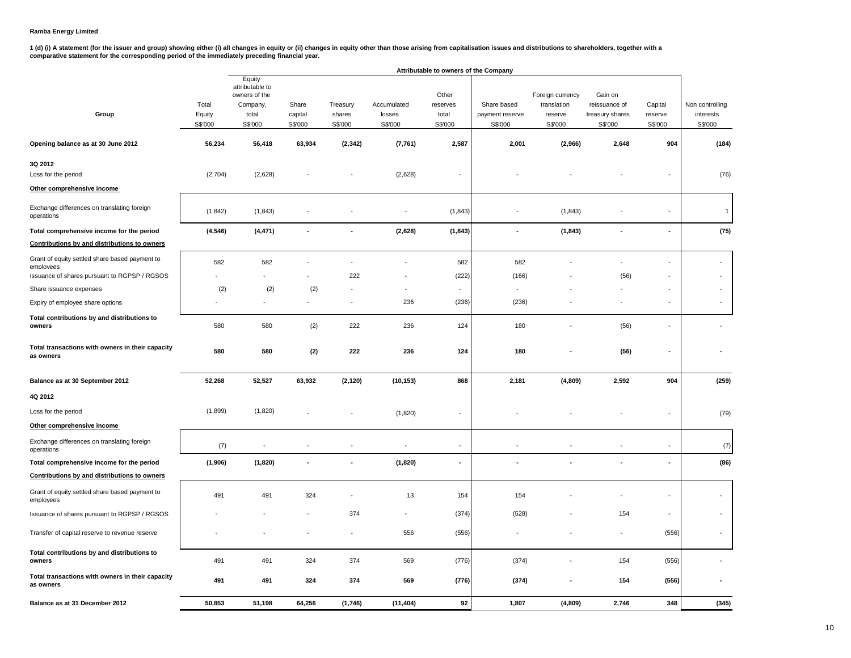1 (d) (i) A statement (for the issuer and group) showing either (i) all changes in equity or (ii) changes in equity other than those arising from capitalisation issues and distributions to shareholders, together with a<br>com

|                                                               |                            |                                                                            |                             |                               |                                  | Attributable to owners of the Company |                                           |                                                       |                                                        |                               |                                         |
|---------------------------------------------------------------|----------------------------|----------------------------------------------------------------------------|-----------------------------|-------------------------------|----------------------------------|---------------------------------------|-------------------------------------------|-------------------------------------------------------|--------------------------------------------------------|-------------------------------|-----------------------------------------|
| Group                                                         | Total<br>Equity<br>S\$'000 | Equity<br>attributable to<br>owners of the<br>Company,<br>total<br>S\$'000 | Share<br>capital<br>S\$'000 | Treasury<br>shares<br>S\$'000 | Accumulated<br>losses<br>S\$'000 | Other<br>reserves<br>total<br>S\$'000 | Share based<br>payment reserve<br>S\$'000 | Foreign currency<br>translation<br>reserve<br>S\$'000 | Gain on<br>reissuance of<br>treasury shares<br>S\$'000 | Capital<br>reserve<br>S\$'000 | Non controlling<br>interests<br>S\$'000 |
| Opening balance as at 30 June 2012                            | 56,234                     | 56,418                                                                     | 63,934                      | (2, 342)                      | (7, 761)                         | 2,587                                 | 2,001                                     | (2,966)                                               | 2,648                                                  | 904                           | (184)                                   |
| 3Q 2012<br>Loss for the period                                | (2,704)                    | (2,628)                                                                    |                             |                               | (2,628)                          | ÷,                                    |                                           |                                                       |                                                        |                               | (76)                                    |
| Other comprehensive income                                    |                            |                                                                            |                             |                               |                                  |                                       |                                           |                                                       |                                                        |                               |                                         |
| Exchange differences on translating foreign<br>operations     | (1, 842)                   | (1, 843)                                                                   |                             |                               |                                  | (1, 843)                              |                                           | (1, 843)                                              |                                                        |                               | $\mathbf{1}$                            |
| Total comprehensive income for the period                     | (4, 546)                   | (4, 471)                                                                   |                             | $\overline{a}$                | (2,628)                          | (1, 843)                              | $\overline{\phantom{a}}$                  | (1, 843)                                              | $\overline{\phantom{a}}$                               | $\overline{\phantom{a}}$      | (75)                                    |
| Contributions by and distributions to owners                  |                            |                                                                            |                             |                               |                                  |                                       |                                           |                                                       |                                                        |                               |                                         |
| Grant of equity settled share based payment to<br>employees   | 582                        | 582                                                                        |                             | ÷,                            |                                  | 582                                   | 582                                       |                                                       |                                                        | ÷.                            | $\overline{\phantom{a}}$                |
| Issuance of shares pursuant to RGPSP / RGSOS                  |                            | $\blacksquare$                                                             |                             | 222                           |                                  | (222)                                 | (166)                                     |                                                       | (56)                                                   | ÷,                            | $\omega$                                |
| Share issuance expenses                                       | (2)                        | (2)                                                                        | (2)                         |                               | ä,                               | ÷,                                    |                                           |                                                       |                                                        | ÷,                            |                                         |
| Expiry of employee share options                              |                            |                                                                            |                             | $\overline{\phantom{a}}$      | 236                              | (236)                                 | (236)                                     |                                                       |                                                        | $\blacksquare$                | $\mathbf{r}$                            |
| Total contributions by and distributions to<br>owners         | 580                        | 580                                                                        | (2)                         | 222                           | 236                              | 124                                   | 180                                       |                                                       | (56)                                                   | ٠                             |                                         |
| Total transactions with owners in their capacity<br>as owners | 580                        | 580                                                                        | (2)                         | 222                           | 236                              | 124                                   | 180                                       |                                                       | (56)                                                   | ٠                             |                                         |
| Balance as at 30 September 2012                               | 52,268                     | 52,527                                                                     | 63,932                      | (2, 120)                      | (10, 153)                        | 868                                   | 2,181                                     | (4,809)                                               | 2,592                                                  | 904                           | (259)                                   |
| 4Q 2012                                                       |                            |                                                                            |                             |                               |                                  |                                       |                                           |                                                       |                                                        |                               |                                         |
| Loss for the period                                           | (1,899)                    | (1,820)                                                                    |                             |                               | (1,820)                          | ÷,                                    |                                           |                                                       |                                                        |                               | (79)                                    |
| Other comprehensive income                                    |                            |                                                                            |                             |                               |                                  |                                       |                                           |                                                       |                                                        |                               |                                         |
| Exchange differences on translating foreign<br>operations     | (7)                        | $\overline{\phantom{a}}$                                                   |                             |                               | ÷                                | $\overline{\phantom{a}}$              |                                           |                                                       |                                                        |                               | (7)                                     |
| Total comprehensive income for the period                     | (1,906)                    | (1,820)                                                                    |                             | $\ddot{\phantom{a}}$          | (1,820)                          | ä,                                    | $\overline{\phantom{a}}$                  |                                                       |                                                        |                               | (86)                                    |
| Contributions by and distributions to owners                  |                            |                                                                            |                             |                               |                                  |                                       |                                           |                                                       |                                                        |                               |                                         |
| Grant of equity settled share based payment to<br>employees   | 491                        | 491                                                                        | 324                         |                               | 13                               | 154                                   | 154                                       |                                                       |                                                        |                               | ÷,                                      |
| Issuance of shares pursuant to RGPSP / RGSOS                  |                            |                                                                            |                             | 374                           | $\overline{\phantom{a}}$         | (374)                                 | (528)                                     |                                                       | 154                                                    | $\blacksquare$                | $\sim$                                  |
|                                                               |                            |                                                                            |                             |                               |                                  |                                       |                                           |                                                       |                                                        |                               |                                         |
| Transfer of capital reserve to revenue reserve                |                            |                                                                            |                             |                               | 556                              | (556)                                 |                                           |                                                       |                                                        | (556)                         | $\sim$                                  |
| Total contributions by and distributions to<br>owners         | 491                        | 491                                                                        | 324                         | 374                           | 569                              | (776)                                 | (374)                                     |                                                       | 154                                                    | (556)                         |                                         |
| Total transactions with owners in their capacity<br>as owners | 491                        | 491                                                                        | 324                         | 374                           | 569                              | (776)                                 | (374)                                     |                                                       | 154                                                    | (556)                         |                                         |
| Balance as at 31 December 2012                                | 50,853                     | 51,198                                                                     | 64,256                      | (1,746)                       | (11, 404)                        | 92                                    | 1,807                                     | (4,809)                                               | 2,746                                                  | 348                           | (345)                                   |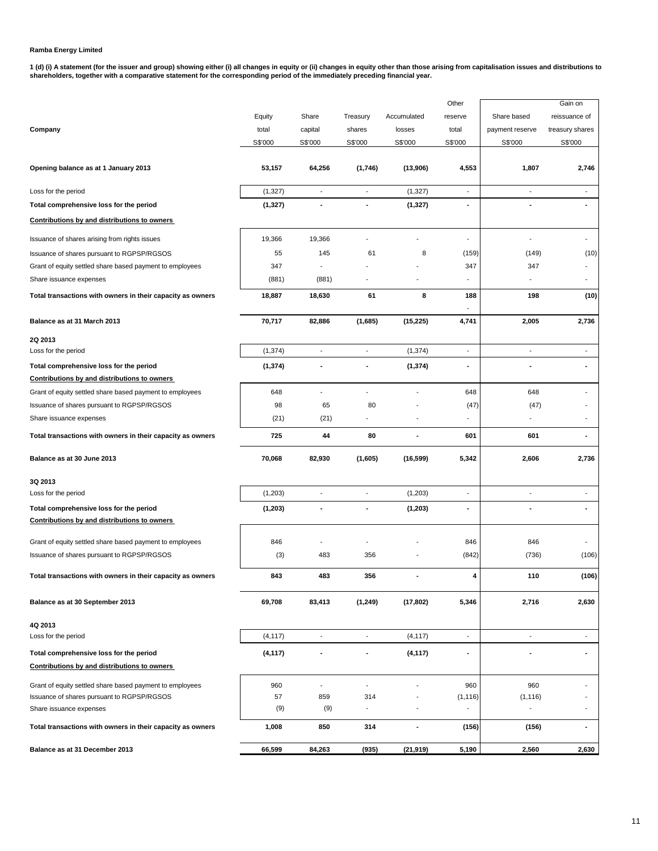1 (d) (i) A statement (for the issuer and group) showing either (i) all changes in equity or (ii) changes in equity other than those arising from capitalisation issues and distributions to<br>shareholders, together with a com

|                                                                                         |          |                          |                          |                | Other                    |                              | Gain on                  |
|-----------------------------------------------------------------------------------------|----------|--------------------------|--------------------------|----------------|--------------------------|------------------------------|--------------------------|
|                                                                                         | Equity   | Share                    | Treasury                 | Accumulated    | reserve                  | Share based                  | reissuance of            |
| Company                                                                                 | total    | capital                  | shares                   | losses         | total                    | payment reserve              | treasury shares          |
|                                                                                         | S\$'000  | S\$'000                  | S\$'000                  | S\$'000        | S\$'000                  | S\$'000                      | S\$'000                  |
| Opening balance as at 1 January 2013                                                    | 53,157   | 64,256                   | (1,746)                  | (13,906)       | 4,553                    | 1,807                        | 2,746                    |
| Loss for the period                                                                     | (1, 327) | $\overline{\phantom{a}}$ | $\overline{\phantom{a}}$ | (1, 327)       | $\blacksquare$           | ÷,                           | $\overline{\phantom{a}}$ |
| Total comprehensive loss for the period                                                 | (1, 327) | ÷                        |                          | (1, 327)       | ä,                       |                              |                          |
| Contributions by and distributions to owners                                            |          |                          |                          |                |                          |                              |                          |
| Issuance of shares arising from rights issues                                           | 19,366   | 19,366                   |                          |                | ÷,                       | Ĭ.                           |                          |
| Issuance of shares pursuant to RGPSP/RGSOS                                              | 55       | 145                      | 61                       | 8              | (159)                    | (149)                        | (10)                     |
| Grant of equity settled share based payment to employees                                | 347      |                          |                          |                | 347                      | 347                          |                          |
| Share issuance expenses                                                                 | (881)    | (881)                    |                          |                |                          |                              |                          |
| Total transactions with owners in their capacity as owners                              | 18,887   | 18,630                   | 61                       | 8              | 188                      | 198                          | (10)                     |
| Balance as at 31 March 2013                                                             | 70,717   | 82,886                   | (1,685)                  | (15, 225)      | 4,741                    | 2,005                        | 2,736                    |
| 2Q 2013                                                                                 |          |                          |                          |                |                          |                              |                          |
| Loss for the period                                                                     | (1, 374) | $\overline{\phantom{a}}$ | $\blacksquare$           | (1, 374)       | $\overline{\phantom{a}}$ | $\overline{\phantom{a}}$     | $\overline{\phantom{a}}$ |
| Total comprehensive loss for the period                                                 | (1, 374) |                          | ٠                        | (1, 374)       | ÷                        | ٠                            | $\overline{\phantom{a}}$ |
| Contributions by and distributions to owners                                            |          |                          |                          |                |                          |                              |                          |
| Grant of equity settled share based payment to employees                                | 648      | $\overline{a}$           | $\overline{a}$           |                | 648                      | 648                          |                          |
| Issuance of shares pursuant to RGPSP/RGSOS                                              | 98       | 65                       | 80                       |                | (47)                     | (47)                         |                          |
| Share issuance expenses                                                                 | (21)     | (21)                     |                          |                | ÷,                       |                              |                          |
| Total transactions with owners in their capacity as owners                              | 725      | 44                       | 80                       | $\blacksquare$ | 601                      | 601                          | $\blacksquare$           |
| Balance as at 30 June 2013                                                              | 70,068   | 82,930                   | (1,605)                  | (16, 599)      | 5,342                    | 2,606                        | 2,736                    |
|                                                                                         |          |                          |                          |                |                          |                              |                          |
| 3Q 2013<br>Loss for the period                                                          | (1, 203) | $\overline{\phantom{a}}$ | $\overline{\phantom{a}}$ | (1,203)        | ÷                        | ÷,                           |                          |
|                                                                                         |          | ä,                       | ٠                        |                | ٠                        |                              | $\blacksquare$           |
| Total comprehensive loss for the period<br>Contributions by and distributions to owners | (1, 203) |                          |                          | (1, 203)       |                          | ٠                            |                          |
| Grant of equity settled share based payment to employees                                | 846      |                          |                          |                | 846                      | 846                          |                          |
| Issuance of shares pursuant to RGPSP/RGSOS                                              | (3)      | 483                      | 356                      |                | (842)                    | (736)                        | (106)                    |
| Total transactions with owners in their capacity as owners                              | 843      | 483                      | 356                      |                | 4                        | 110                          | (106)                    |
| Balance as at 30 September 2013                                                         | 69,708   | 83,413                   | (1, 249)                 | (17, 802)      | 5,346                    | 2,716                        | 2,630                    |
| 4Q 2013                                                                                 |          |                          |                          |                |                          |                              |                          |
| Loss for the period                                                                     | (4, 117) | $\overline{\phantom{a}}$ | $\overline{\phantom{a}}$ | (4, 117)       | ÷,                       | $\overline{\phantom{a}}$     | $\overline{\phantom{a}}$ |
| Total comprehensive loss for the period                                                 | (4, 117) | ٠                        |                          | (4, 117)       | ۰                        |                              | $\blacksquare$           |
| Contributions by and distributions to owners                                            |          |                          |                          |                |                          |                              |                          |
| Grant of equity settled share based payment to employees                                | 960      | $\overline{a}$           | $\overline{a}$           |                | 960                      | 960                          |                          |
| Issuance of shares pursuant to RGPSP/RGSOS                                              | 57       | 859                      | 314                      |                | (1, 116)                 | (1, 116)                     |                          |
| Share issuance expenses                                                                 | (9)      | (9)                      | $\overline{\phantom{a}}$ |                | $\overline{a}$           | $\qquad \qquad \blacksquare$ | $\overline{\phantom{a}}$ |
| Total transactions with owners in their capacity as owners                              | 1,008    | 850                      | 314                      | $\blacksquare$ | (156)                    | (156)                        | $\overline{\phantom{a}}$ |
| Balance as at 31 December 2013                                                          | 66,599   | 84,263                   | (935)                    | (21, 919)      | 5,190                    | 2,560                        | 2,630                    |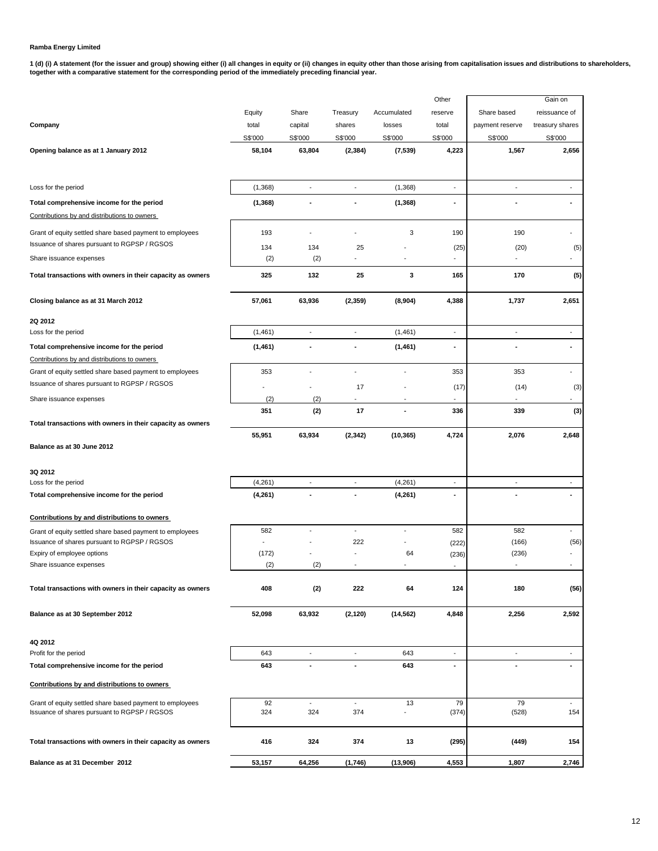1 (d) (i) A statement (for the issuer and group) showing either (i) all changes in equity or (ii) changes in equity other than those arising from capitalisation issues and distributions to shareholders,<br>together with a com

|                                                                                                          |              |                                 |                          |                                | Other                    |                                   | Gain on                  |
|----------------------------------------------------------------------------------------------------------|--------------|---------------------------------|--------------------------|--------------------------------|--------------------------|-----------------------------------|--------------------------|
|                                                                                                          | Equity       | Share                           | Treasury                 | Accumulated                    | reserve                  | Share based                       | reissuance of            |
| Company                                                                                                  | total        | capital                         | shares                   | losses                         | total                    | payment reserve                   | treasury shares          |
|                                                                                                          | S\$'000      | S\$'000                         | S\$'000                  | S\$'000                        | S\$'000                  | S\$'000                           | S\$'000                  |
| Opening balance as at 1 January 2012                                                                     | 58,104       | 63,804                          | (2, 384)                 | (7, 539)                       | 4,223                    | 1,567                             | 2,656                    |
| Loss for the period                                                                                      | (1,368)      | $\overline{a}$                  | $\overline{a}$           | (1,368)                        | $\blacksquare$           | $\overline{a}$                    | ÷                        |
| Total comprehensive income for the period                                                                | (1, 368)     |                                 |                          | (1, 368)                       | ٠                        |                                   |                          |
| Contributions by and distributions to owners                                                             |              |                                 |                          |                                |                          |                                   |                          |
| Grant of equity settled share based payment to employees                                                 | 193          | $\overline{\phantom{a}}$        |                          | 3                              | 190                      | 190                               |                          |
| Issuance of shares pursuant to RGPSP / RGSOS                                                             | 134          | 134                             | 25                       |                                | (25)                     | (20)                              | (5)                      |
| Share issuance expenses                                                                                  | (2)          | (2)                             |                          |                                |                          |                                   | ÷                        |
| Total transactions with owners in their capacity as owners                                               | 325          | 132                             | 25                       | 3                              | 165                      | 170                               | (5)                      |
| Closing balance as at 31 March 2012                                                                      | 57,061       | 63,936                          | (2, 359)                 | (8,904)                        | 4,388                    | 1,737                             | 2,651                    |
| 2Q 2012                                                                                                  |              |                                 |                          |                                |                          |                                   |                          |
| Loss for the period                                                                                      | (1,461)      | $\overline{a}$                  | $\overline{a}$           | (1,461)                        | $\overline{\phantom{a}}$ | $\overline{\phantom{a}}$          | ÷                        |
| Total comprehensive income for the period                                                                | (1,461)      | ٠                               |                          | (1,461)                        | ٠                        |                                   | ٠                        |
| Contributions by and distributions to owners                                                             |              |                                 |                          |                                |                          |                                   |                          |
| Grant of equity settled share based payment to employees                                                 | 353          |                                 |                          |                                | 353                      | 353                               |                          |
| Issuance of shares pursuant to RGPSP / RGSOS                                                             |              |                                 | 17                       |                                | (17)                     | (14)                              | (3)                      |
| Share issuance expenses                                                                                  | (2)          | (2)                             |                          |                                |                          |                                   |                          |
|                                                                                                          | 351          | (2)                             | 17                       |                                | 336                      | 339                               | (3)                      |
| Total transactions with owners in their capacity as owners                                               |              |                                 |                          |                                |                          |                                   |                          |
|                                                                                                          | 55,951       | 63,934                          | (2, 342)                 | (10, 365)                      | 4,724                    | 2,076                             | 2,648                    |
| Balance as at 30 June 2012                                                                               |              |                                 |                          |                                |                          |                                   |                          |
| 3Q 2012                                                                                                  |              |                                 |                          |                                |                          |                                   |                          |
| Loss for the period                                                                                      | (4,261)      | $\overline{\phantom{a}}$        | $\overline{a}$           | (4,261)                        | $\blacksquare$           | $\overline{\phantom{a}}$          | $\overline{\phantom{a}}$ |
| Total comprehensive income for the period                                                                | (4,261)      |                                 |                          | (4,261)                        |                          |                                   |                          |
| Contributions by and distributions to owners                                                             |              |                                 |                          |                                |                          |                                   |                          |
| Grant of equity settled share based payment to employees                                                 | 582          |                                 | $\overline{a}$           | $\overline{a}$                 | 582                      | 582                               |                          |
| Issuance of shares pursuant to RGPSP / RGSOS                                                             |              |                                 | 222                      |                                | (222)                    | (166)                             | (56)                     |
| Expiry of employee options<br>Share issuance expenses                                                    | (172)<br>(2) | (2)                             |                          | 64<br>$\overline{a}$           | (236)                    | (236)<br>$\overline{\phantom{a}}$ |                          |
|                                                                                                          |              |                                 |                          |                                | $\overline{\phantom{a}}$ |                                   |                          |
| Total transactions with owners in their capacity as owners                                               | 408          | (2)                             | 222                      | 64                             | 124                      | 180                               | (56)                     |
| Balance as at 30 September 2012                                                                          | 52,098       | 63,932                          | (2, 120)                 | (14, 562)                      | 4,848                    | 2,256                             | 2,592                    |
| 4Q 2012                                                                                                  |              |                                 |                          |                                |                          |                                   |                          |
| Profit for the period                                                                                    | 643          | $\overline{\phantom{a}}$        | $\overline{\phantom{a}}$ | 643                            | $\overline{\phantom{a}}$ | $\overline{a}$                    | $\overline{\phantom{a}}$ |
| Total comprehensive income for the period                                                                | 643          | ÷.                              |                          | 643                            | ٠                        |                                   | $\blacksquare$           |
| Contributions by and distributions to owners                                                             |              |                                 |                          |                                |                          |                                   |                          |
| Grant of equity settled share based payment to employees<br>Issuance of shares pursuant to RGPSP / RGSOS | 92<br>324    | $\overline{\phantom{a}}$<br>324 | $\blacksquare$<br>374    | 13<br>$\overline{\phantom{0}}$ | 79<br>(374)              | 79<br>(528)                       | $\blacksquare$<br>154    |
| Total transactions with owners in their capacity as owners                                               | 416          | 324                             | 374                      | 13                             | (295)                    | (449)                             | 154                      |
| Balance as at 31 December 2012                                                                           | 53,157       | 64,256                          | (1,746)                  | (13,906)                       | 4,553                    | 1,807                             | 2,746                    |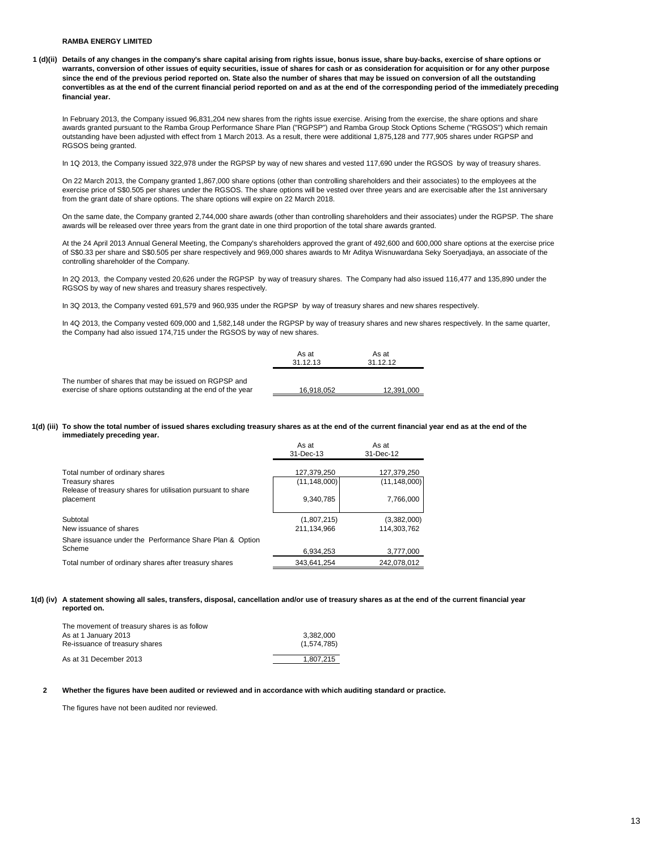**1 (d)(ii) Details of any changes in the company's share capital arising from rights issue, bonus issue, share buy-backs, exercise of share options or warrants, conversion of other issues of equity securities, issue of shares for cash or as consideration for acquisition or for any other purpose since the end of the previous period reported on. State also the number of shares that may be issued on conversion of all the outstanding convertibles as at the end of the current financial period reported on and as at the end of the corresponding period of the immediately preceding financial year.**

In February 2013, the Company issued 96,831,204 new shares from the rights issue exercise. Arising from the exercise, the share options and share awards granted pursuant to the Ramba Group Performance Share Plan ("RGPSP") and Ramba Group Stock Options Scheme ("RGSOS") which remain outstanding have been adjusted with effect from 1 March 2013. As a result, there were additional 1,875,128 and 777,905 shares under RGPSP and RGSOS being granted.

In 1Q 2013, the Company issued 322,978 under the RGPSP by way of new shares and vested 117,690 under the RGSOS by way of treasury shares.

On 22 March 2013, the Company granted 1,867,000 share options (other than controlling shareholders and their associates) to the employees at the exercise price of S\$0.505 per shares under the RGSOS. The share options will be vested over three years and are exercisable after the 1st anniversary from the grant date of share options. The share options will expire on 22 March 2018.

On the same date, the Company granted 2,744,000 share awards (other than controlling shareholders and their associates) under the RGPSP. The share awards will be released over three years from the grant date in one third proportion of the total share awards granted.

At the 24 April 2013 Annual General Meeting, the Company's shareholders approved the grant of 492,600 and 600,000 share options at the exercise price of S\$0.33 per share and S\$0.505 per share respectively and 969,000 shares awards to Mr Aditya Wisnuwardana Seky Soeryadjaya, an associate of the controlling shareholder of the Company.

In 2Q 2013, the Company vested 20,626 under the RGPSP by way of treasury shares. The Company had also issued 116,477 and 135,890 under the RGSOS by way of new shares and treasury shares respectively.

In 3Q 2013, the Company vested 691,579 and 960,935 under the RGPSP by way of treasury shares and new shares respectively.

In 4Q 2013, the Company vested 609,000 and 1,582,148 under the RGPSP by way of treasury shares and new shares respectively. In the same quarter, the Company had also issued 174,715 under the RGSOS by way of new shares.

|                                                                                                                      | As at<br>31.12.13 | As at<br>31.12.12 |
|----------------------------------------------------------------------------------------------------------------------|-------------------|-------------------|
| The number of shares that may be issued on RGPSP and<br>exercise of share options outstanding at the end of the year | 16.918.052        | 12.391.000        |

#### **1(d) (iii) To show the total number of issued shares excluding treasury shares as at the end of the current financial year end as at the end of the immediately preceding year.**

|                                                                                              | As at<br>31-Dec-13         | As at<br>31-Dec-12          |
|----------------------------------------------------------------------------------------------|----------------------------|-----------------------------|
| Total number of ordinary shares                                                              | 127.379.250                | 127.379.250                 |
| Treasury shares<br>Release of treasury shares for utilisation pursuant to share<br>placement | (11.148.000)<br>9,340,785  | (11, 148, 000)<br>7.766.000 |
| Subtotal<br>New issuance of shares                                                           | (1,807,215)<br>211.134.966 | (3,382,000)<br>114.303.762  |
| Share issuance under the Performance Share Plan & Option<br>Scheme                           | 6.934.253                  | 3,777,000                   |
| Total number of ordinary shares after treasury shares                                        | 343.641.254                | 242.078.012                 |

#### **1(d) (iv) A statement showing all sales, transfers, disposal, cancellation and/or use of treasury shares as at the end of the current financial year reported on.**

| The movement of treasury shares is as follow |             |
|----------------------------------------------|-------------|
| As at 1 January 2013                         | 3.382.000   |
| Re-issuance of treasury shares               | (1,574,785) |
| As at 31 December 2013                       | 1.807.215   |

#### **2 Whether the figures have been audited or reviewed and in accordance with which auditing standard or practice.**

The figures have not been audited nor reviewed.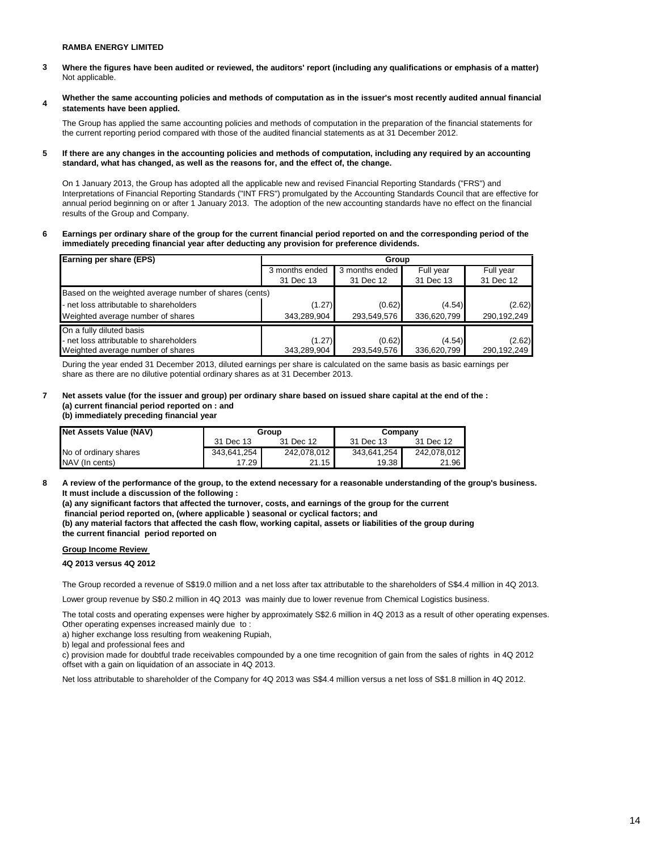- **3** Not applicable. **Where the figures have been audited or reviewed, the auditors' report (including any qualifications or emphasis of a matter)**
- **4 Whether the same accounting policies and methods of computation as in the issuer's most recently audited annual financial statements have been applied.**

The Group has applied the same accounting policies and methods of computation in the preparation of the financial statements for the current reporting period compared with those of the audited financial statements as at 31 December 2012.

**5 If there are any changes in the accounting policies and methods of computation, including any required by an accounting standard, what has changed, as well as the reasons for, and the effect of, the change.**

On 1 January 2013, the Group has adopted all the applicable new and revised Financial Reporting Standards ("FRS") and Interpretations of Financial Reporting Standards ("INT FRS") promulgated by the Accounting Standards Council that are effective for annual period beginning on or after 1 January 2013. The adoption of the new accounting standards have no effect on the financial results of the Group and Company.

**6 Earnings per ordinary share of the group for the current financial period reported on and the corresponding period of the immediately preceding financial year after deducting any provision for preference dividends.** 

| Earning per share (EPS)                                | Group                            |             |             |             |  |  |  |
|--------------------------------------------------------|----------------------------------|-------------|-------------|-------------|--|--|--|
|                                                        | 3 months ended<br>3 months ended |             | Full year   | Full year   |  |  |  |
|                                                        | 31 Dec 13                        | 31 Dec 12   | 31 Dec 13   | 31 Dec 12   |  |  |  |
| Based on the weighted average number of shares (cents) |                                  |             |             |             |  |  |  |
| - net loss attributable to shareholders                | (1.27)                           | (0.62)      | (4.54)      | (2.62)      |  |  |  |
| Weighted average number of shares                      | 343,289,904                      | 293,549,576 | 336,620,799 | 290,192,249 |  |  |  |
| On a fully diluted basis                               |                                  |             |             |             |  |  |  |
| - net loss attributable to shareholders                | (1.27)                           | (0.62)      | (4.54)      | (2.62)      |  |  |  |
| Weighted average number of shares                      | 343,289,904                      | 293,549,576 | 336,620,799 | 290.192.249 |  |  |  |

During the year ended 31 December 2013, diluted earnings per share is calculated on the same basis as basic earnings per share as there are no dilutive potential ordinary shares as at 31 December 2013.

# **7 Net assets value (for the issuer and group) per ordinary share based on issued share capital at the end of the : (a) current financial period reported on : and**

**(b) immediately preceding financial year** 

| Net Assets Value (NAV) |             | Group       | Company     |             |
|------------------------|-------------|-------------|-------------|-------------|
|                        | 31 Dec 13   | 31 Dec 12   | 31 Dec 13   | 31 Dec 12   |
| No of ordinary shares  | 343,641,254 | 242.078.012 | 343.641.254 | 242.078.012 |
| NAV (In cents)         | 17.29       | 21.15       | 19.38       | 21.96       |

**8 A review of the performance of the group, to the extend necessary for a reasonable understanding of the group's business. It must include a discussion of the following :** 

**(a) any significant factors that affected the turnover, costs, and earnings of the group for the current**

 **financial period reported on, (where applicable ) seasonal or cyclical factors; and**

**(b) any material factors that affected the cash flow, working capital, assets or liabilities of the group during the current financial period reported on** 

# **Group Income Review**

**4Q 2013 versus 4Q 2012**

The Group recorded a revenue of S\$19.0 million and a net loss after tax attributable to the shareholders of S\$4.4 million in 4Q 2013.

Lower group revenue by S\$0.2 million in 4Q 2013 was mainly due to lower revenue from Chemical Logistics business.

The total costs and operating expenses were higher by approximately S\$2.6 million in 4Q 2013 as a result of other operating expenses. Other operating expenses increased mainly due to :

a) higher exchange loss resulting from weakening Rupiah,

b) legal and professional fees and

c) provision made for doubtful trade receivables compounded by a one time recognition of gain from the sales of rights in 4Q 2012 offset with a gain on liquidation of an associate in 4Q 2013.

Net loss attributable to shareholder of the Company for 4Q 2013 was S\$4.4 million versus a net loss of S\$1.8 million in 4Q 2012.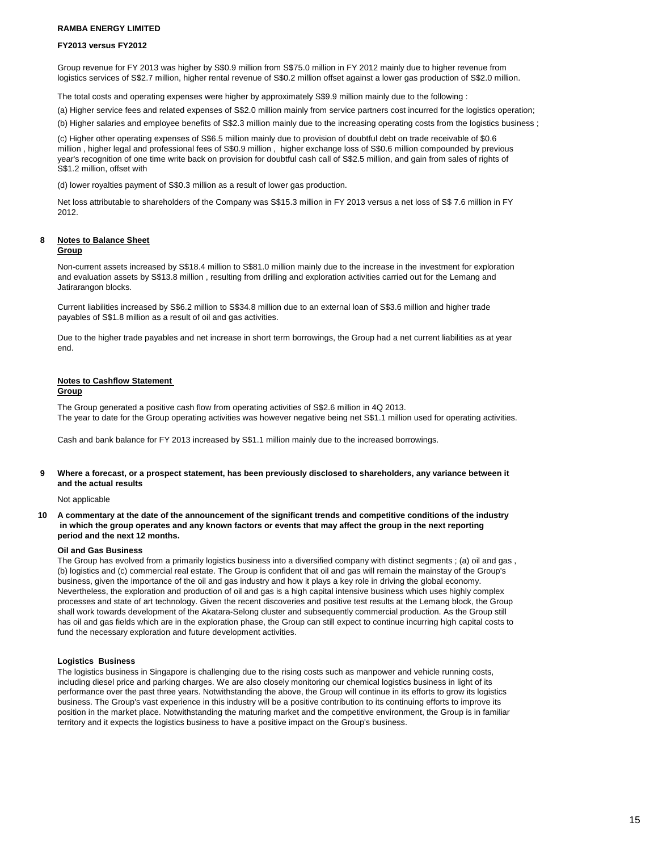#### **FY2013 versus FY2012**

Group revenue for FY 2013 was higher by S\$0.9 million from S\$75.0 million in FY 2012 mainly due to higher revenue from logistics services of S\$2.7 million, higher rental revenue of S\$0.2 million offset against a lower gas production of S\$2.0 million.

The total costs and operating expenses were higher by approximately S\$9.9 million mainly due to the following :

(a) Higher service fees and related expenses of S\$2.0 million mainly from service partners cost incurred for the logistics operation;

(b) Higher salaries and employee benefits of S\$2.3 million mainly due to the increasing operating costs from the logistics business ;

(c) Higher other operating expenses of S\$6.5 million mainly due to provision of doubtful debt on trade receivable of \$0.6 million , higher legal and professional fees of S\$0.9 million , higher exchange loss of S\$0.6 million compounded by previous year's recognition of one time write back on provision for doubtful cash call of S\$2.5 million, and gain from sales of rights of S\$1.2 million, offset with

(d) lower royalties payment of S\$0.3 million as a result of lower gas production.

Net loss attributable to shareholders of the Company was S\$15.3 million in FY 2013 versus a net loss of S\$ 7.6 million in FY 2012.

# **8 Notes to Balance Sheet**

#### **Group**

Non-current assets increased by S\$18.4 million to S\$81.0 million mainly due to the increase in the investment for exploration and evaluation assets by S\$13.8 million , resulting from drilling and exploration activities carried out for the Lemang and Jatirarangon blocks.

Current liabilities increased by S\$6.2 million to S\$34.8 million due to an external loan of S\$3.6 million and higher trade payables of S\$1.8 million as a result of oil and gas activities.

Due to the higher trade payables and net increase in short term borrowings, the Group had a net current liabilities as at year end.

#### **Notes to Cashflow Statement**

#### **Group**

The Group generated a positive cash flow from operating activities of S\$2.6 million in 4Q 2013. The year to date for the Group operating activities was however negative being net S\$1.1 million used for operating activities.

Cash and bank balance for FY 2013 increased by S\$1.1 million mainly due to the increased borrowings.

#### **9 Where a forecast, or a prospect statement, has been previously disclosed to shareholders, any variance between it and the actual results**

#### Not applicable

**10 A commentary at the date of the announcement of the significant trends and competitive conditions of the industry in which the group operates and any known factors or events that may affect the group in the next reporting period and the next 12 months.** 

#### **Oil and Gas Business**

The Group has evolved from a primarily logistics business into a diversified company with distinct segments ; (a) oil and gas , (b) logistics and (c) commercial real estate. The Group is confident that oil and gas will remain the mainstay of the Group's business, given the importance of the oil and gas industry and how it plays a key role in driving the global economy. Nevertheless, the exploration and production of oil and gas is a high capital intensive business which uses highly complex processes and state of art technology. Given the recent discoveries and positive test results at the Lemang block, the Group shall work towards development of the Akatara-Selong cluster and subsequently commercial production. As the Group still has oil and gas fields which are in the exploration phase, the Group can still expect to continue incurring high capital costs to fund the necessary exploration and future development activities.

#### **Logistics Business**

The logistics business in Singapore is challenging due to the rising costs such as manpower and vehicle running costs, including diesel price and parking charges. We are also closely monitoring our chemical logistics business in light of its performance over the past three years. Notwithstanding the above, the Group will continue in its efforts to grow its logistics business. The Group's vast experience in this industry will be a positive contribution to its continuing efforts to improve its position in the market place. Notwithstanding the maturing market and the competitive environment, the Group is in familiar territory and it expects the logistics business to have a positive impact on the Group's business.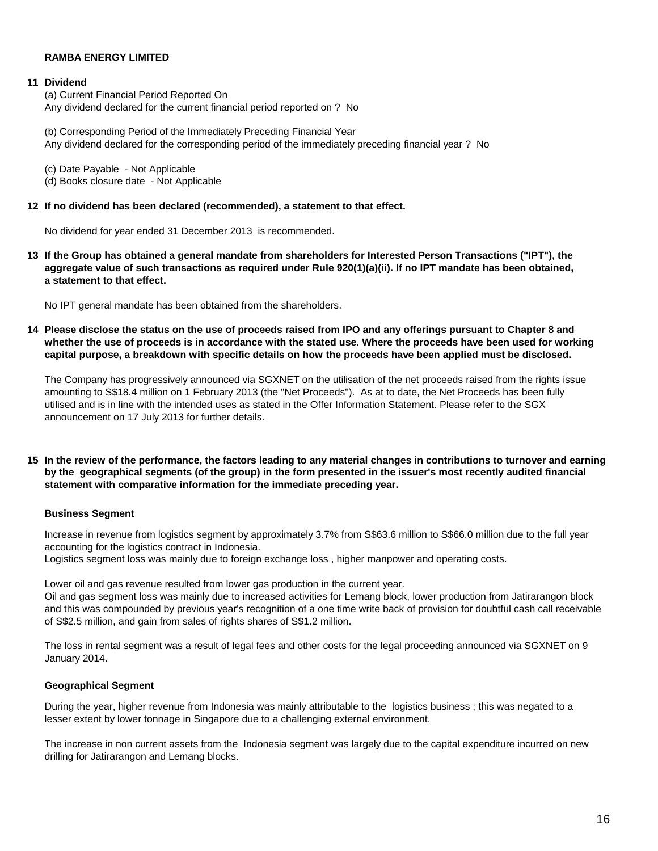# **11 Dividend**

(a) Current Financial Period Reported On Any dividend declared for the current financial period reported on ? No

(b) Corresponding Period of the Immediately Preceding Financial Year Any dividend declared for the corresponding period of the immediately preceding financial year ? No

(c) Date Payable - Not Applicable (d) Books closure date - Not Applicable

# **12 If no dividend has been declared (recommended), a statement to that effect.**

No dividend for year ended 31 December 2013 is recommended.

**13 If the Group has obtained a general mandate from shareholders for Interested Person Transactions ("IPT"), the aggregate value of such transactions as required under Rule 920(1)(a)(ii). If no IPT mandate has been obtained, a statement to that effect.** 

No IPT general mandate has been obtained from the shareholders.

**14 Please disclose the status on the use of proceeds raised from IPO and any offerings pursuant to Chapter 8 and whether the use of proceeds is in accordance with the stated use. Where the proceeds have been used for working capital purpose, a breakdown with specific details on how the proceeds have been applied must be disclosed.** 

The Company has progressively announced via SGXNET on the utilisation of the net proceeds raised from the rights issue amounting to S\$18.4 million on 1 February 2013 (the "Net Proceeds"). As at to date, the Net Proceeds has been fully utilised and is in line with the intended uses as stated in the Offer Information Statement. Please refer to the SGX announcement on 17 July 2013 for further details.

**15 In the review of the performance, the factors leading to any material changes in contributions to turnover and earnings by the geographical segments (of the group) in the form presented in the issuer's most recently audited financial statement with comparative information for the immediate preceding year.** 

# **Business Segment**

Increase in revenue from logistics segment by approximately 3.7% from S\$63.6 million to S\$66.0 million due to the full year accounting for the logistics contract in Indonesia.

Logistics segment loss was mainly due to foreign exchange loss , higher manpower and operating costs.

Lower oil and gas revenue resulted from lower gas production in the current year. Oil and gas segment loss was mainly due to increased activities for Lemang block, lower production from Jatirarangon block and this was compounded by previous year's recognition of a one time write back of provision for doubtful cash call receivable of S\$2.5 million, and gain from sales of rights shares of S\$1.2 million.

The loss in rental segment was a result of legal fees and other costs for the legal proceeding announced via SGXNET on 9 January 2014.

# **Geographical Segment**

During the year, higher revenue from Indonesia was mainly attributable to the logistics business ; this was negated to a lesser extent by lower tonnage in Singapore due to a challenging external environment.

The increase in non current assets from the Indonesia segment was largely due to the capital expenditure incurred on new drilling for Jatirarangon and Lemang blocks.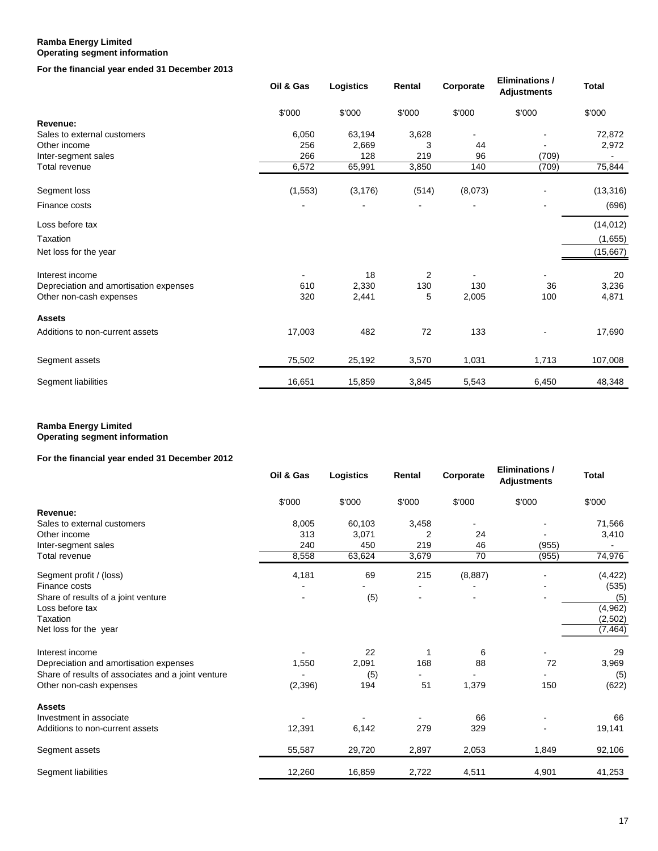# **Ramba Energy Limited Operating segment information**

**For the financial year ended 31 December 2013**

|                                        | Oil & Gas | Logistics | Rental         | Corporate | <b>Eliminations /</b><br><b>Adjustments</b> | <b>Total</b> |
|----------------------------------------|-----------|-----------|----------------|-----------|---------------------------------------------|--------------|
|                                        | \$'000    | \$'000    | \$'000         | \$'000    | \$'000                                      | \$'000       |
| Revenue:                               |           |           |                |           |                                             |              |
| Sales to external customers            | 6,050     | 63,194    | 3,628          |           |                                             | 72,872       |
| Other income                           | 256       | 2,669     | 3              | 44        |                                             | 2,972        |
| Inter-segment sales                    | 266       | 128       | 219            | 96        | (709)                                       |              |
| <b>Total revenue</b>                   | 6,572     | 65,991    | 3,850          | 140       | (709)                                       | 75,844       |
| Segment loss                           | (1, 553)  | (3, 176)  | (514)          | (8,073)   |                                             | (13, 316)    |
| Finance costs                          |           |           |                |           |                                             | (696)        |
| Loss before tax                        |           |           |                |           |                                             | (14, 012)    |
| Taxation                               |           |           |                |           |                                             | (1,655)      |
| Net loss for the year                  |           |           |                |           |                                             | (15,667)     |
| Interest income                        |           | 18        | $\overline{2}$ |           |                                             | 20           |
| Depreciation and amortisation expenses | 610       | 2,330     | 130            | 130       | 36                                          | 3,236        |
| Other non-cash expenses                | 320       | 2,441     | 5              | 2,005     | 100                                         | 4,871        |
| <b>Assets</b>                          |           |           |                |           |                                             |              |
| Additions to non-current assets        | 17,003    | 482       | 72             | 133       |                                             | 17,690       |
| Segment assets                         | 75,502    | 25,192    | 3,570          | 1,031     | 1,713                                       | 107,008      |
| Segment liabilities                    | 16,651    | 15,859    | 3,845          | 5,543     | 6,450                                       | 48,348       |

# **Ramba Energy Limited Operating segment information**

# **For the financial year ended 31 December 2012**

|                                                    | Oil & Gas | Logistics | Rental                   | Corporate | <b>Eliminations /</b><br><b>Adjustments</b> | <b>Total</b> |
|----------------------------------------------------|-----------|-----------|--------------------------|-----------|---------------------------------------------|--------------|
|                                                    | \$'000    | \$'000    | \$'000                   | \$'000    | \$'000                                      | \$'000       |
| Revenue:                                           |           |           |                          |           |                                             |              |
| Sales to external customers                        | 8,005     | 60,103    | 3,458                    |           |                                             | 71,566       |
| Other income                                       | 313       | 3,071     | 2                        | 24        |                                             | 3,410        |
| Inter-segment sales                                | 240       | 450       | 219                      | 46        | (955)                                       |              |
| Total revenue                                      | 8,558     | 63,624    | 3,679                    | 70        | (955)                                       | 74,976       |
| Segment profit / (loss)                            | 4,181     | 69        | 215                      | (8, 887)  |                                             | (4, 422)     |
| Finance costs                                      |           |           |                          |           |                                             | (535)        |
| Share of results of a joint venture                |           | (5)       | $\overline{\phantom{0}}$ |           |                                             | (5)          |
| Loss before tax                                    |           |           |                          |           |                                             | (4, 962)     |
| Taxation                                           |           |           |                          |           |                                             | (2,502)      |
| Net loss for the year                              |           |           |                          |           |                                             | (7, 464)     |
| Interest income                                    |           | 22        | 1                        | 6         |                                             | 29           |
| Depreciation and amortisation expenses             | 1,550     | 2,091     | 168                      | 88        | 72                                          | 3,969        |
| Share of results of associates and a joint venture |           | (5)       |                          |           |                                             | (5)          |
| Other non-cash expenses                            | (2,396)   | 194       | 51                       | 1,379     | 150                                         | (622)        |
| <b>Assets</b>                                      |           |           |                          |           |                                             |              |
| Investment in associate                            |           |           |                          | 66        |                                             | 66           |
| Additions to non-current assets                    | 12,391    | 6,142     | 279                      | 329       |                                             | 19,141       |
| Segment assets                                     | 55,587    | 29,720    | 2,897                    | 2,053     | 1,849                                       | 92,106       |
| Segment liabilities                                | 12,260    | 16,859    | 2,722                    | 4,511     | 4,901                                       | 41,253       |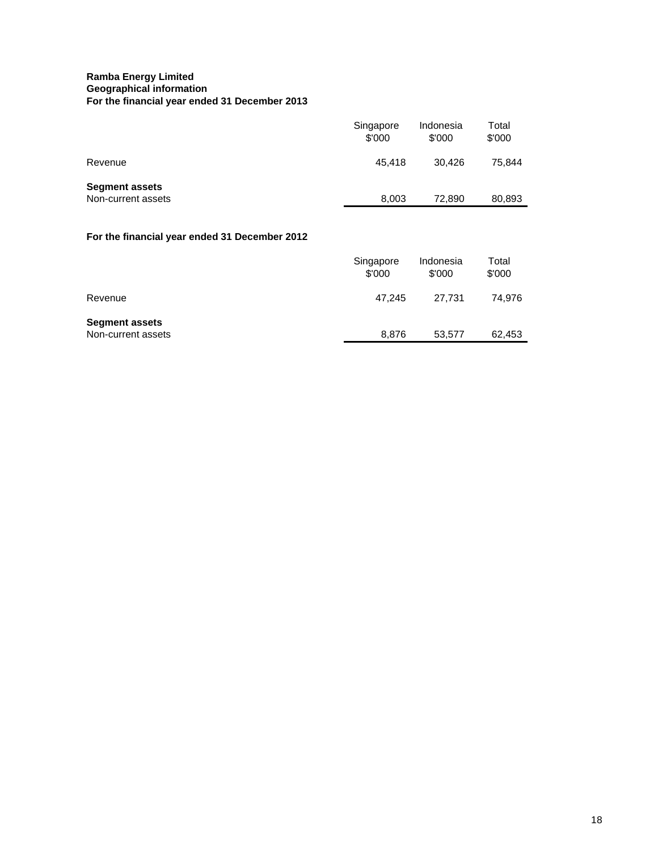# **Ramba Energy Limited Geographical information For the financial year ended 31 December 2013**

| Singapore<br>\$'000 | Indonesia<br>\$'000 | Total<br>\$'000 |
|---------------------|---------------------|-----------------|
| 45,418              | 30,426              | 75,844          |
| 8,003               | 72,890              | 80,893          |
|                     |                     |                 |
| Singapore<br>\$'000 | Indonesia<br>\$'000 | Total<br>\$'000 |
| 47,245              | 27,731              | 74,976          |
|                     |                     | 62,453          |
|                     | 8,876               | 53,577          |